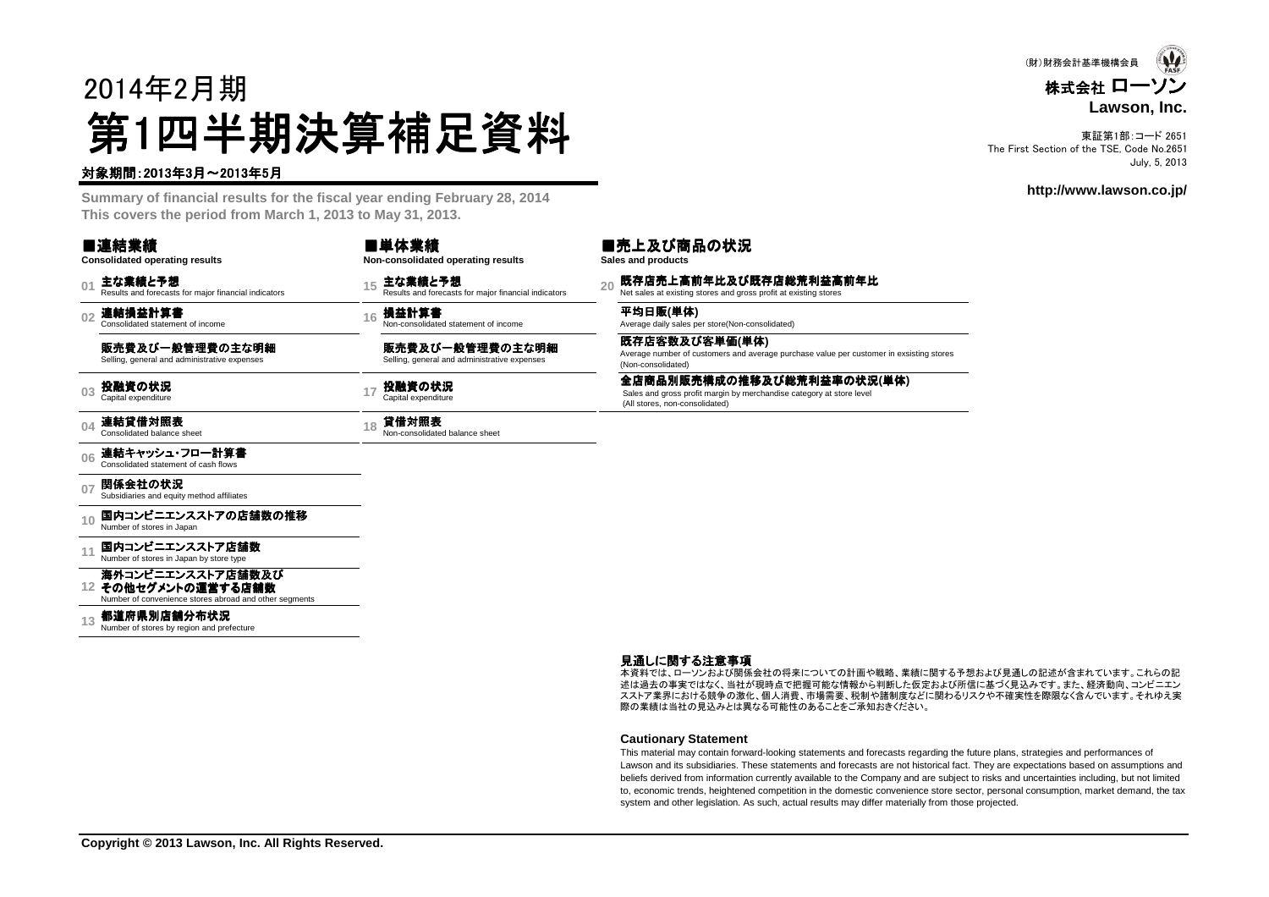# 2014年2月期第1四半期決算補足資料<br><del>"卿卿"</del>

#### 対象期間:2013年3月~2013年5月

 **Summary of financial results for the fiscal year ending February 28, 2014This covers the period from March 1, 2013 to May 31, 2013.**

#### ■連結業績

**01**

**Consolidated operating results**

#### ■単体業績

 **<sup>15</sup>** 主な業績と予想 Results and forecasts for major financial indicators **<sup>20</sup> Non-consolidated operating results**

販売費及び一般管理費の主な明細Selling, general and administrative expenses

**<sup>16</sup>** 損益計算書 Non-consolidated statement of income

#### **02**連結損益計算書 Consolidated statement of income

販売費及び一般管理費の主な明細Selling, general and administrative expenses

主な業績と予想<br>Results and forecasts for major financial indicators

**03**投融資の状況<br>Capital expenditure

# **投融資の状況**<br>Capital expenditure

**04**連結貸借対照表 Consolidated balance sheet **<sup>18</sup>** 貸借対照表 Non-consolidated balance sheet

#### ■売上及び商品の状況

**Sales and products**

### 既存店売上高前年比及び既存店総荒利益高前年比<br>Net sales at existing stores and gross profit at existing stores

Net sales at existing stores and gross profit at existing stores

#### 平均日販**(**単体**)**

Average daily sales per store(Non-consolidated)

#### 既存店客数及び客単価**(**単体**)**

 Average number of customers and average purchase value per customer in exsisting stores(Non-consolidated)

#### 全店商品別販売構成の推移及び総荒利益率の状況**(**単体**)**

 Sales and gross profit margin by merchandise category at store level(All stores, non-consolidated)

#### **06**連結キャッシュ・フロー計算書<br>Consolidated statement of cash flows

**07関係会社の状況**<br>Subsidiaries and equity method affiliates

#### **10**国内コンビニエンスストアの店舗数の推移

#### **11**国内コンビニエンスストア店舗数

海外コンビニエンスストア店舗数及び<br>その他セグメントの運営する庄舗数

#### **12**その他セグメントの運営する店舗数

Number of convenience stores abroad and other segments

#### **13都道府県別店舗分布状況**<br>Number of stores by region and prefecture

#### 見通しに関する注意事項

 本資料では、ローソンおよび関係会社の将来についての計画や戦略、業績に関する予想および見通しの記述が含まれています。これらの記 述は過去の事実ではなく、当社が現時点で把握可能な情報から判断した仮定および所信に基づく見込みです。また、経済動向、コンビニエン スストア業界における競争の激化、個人消費、市場需要、税制や諸制度などに関わるリスクや不確実性を際限なく含んでいます。それゆえ実際の業績は当社の見込みとは異なる可能性のあることをご承知おきください。

#### **Cautionary Statement**

 This material may contain forward-looking statements and forecasts regarding the future plans, strategies and performances of Lawson and its subsidiaries. These statements and forecasts are not historical fact. They are expectations based on assumptions and beliefs derived from information currently available to the Company and are subject to risks and uncertainties including, but not limited to, economic trends, heightened competition in the domestic convenience store sector, personal consumption, market demand, the taxsystem and other legislation. As such, actual results may differ materially from those projected.

株式会社 ローソン **Lawson, Inc.**(財)財務会計基準機構会

東証第1部:コード 2651 The First Section of the TSE, Code No.2651July, 5, 2013

#### **http://www.lawson.co.jp/**

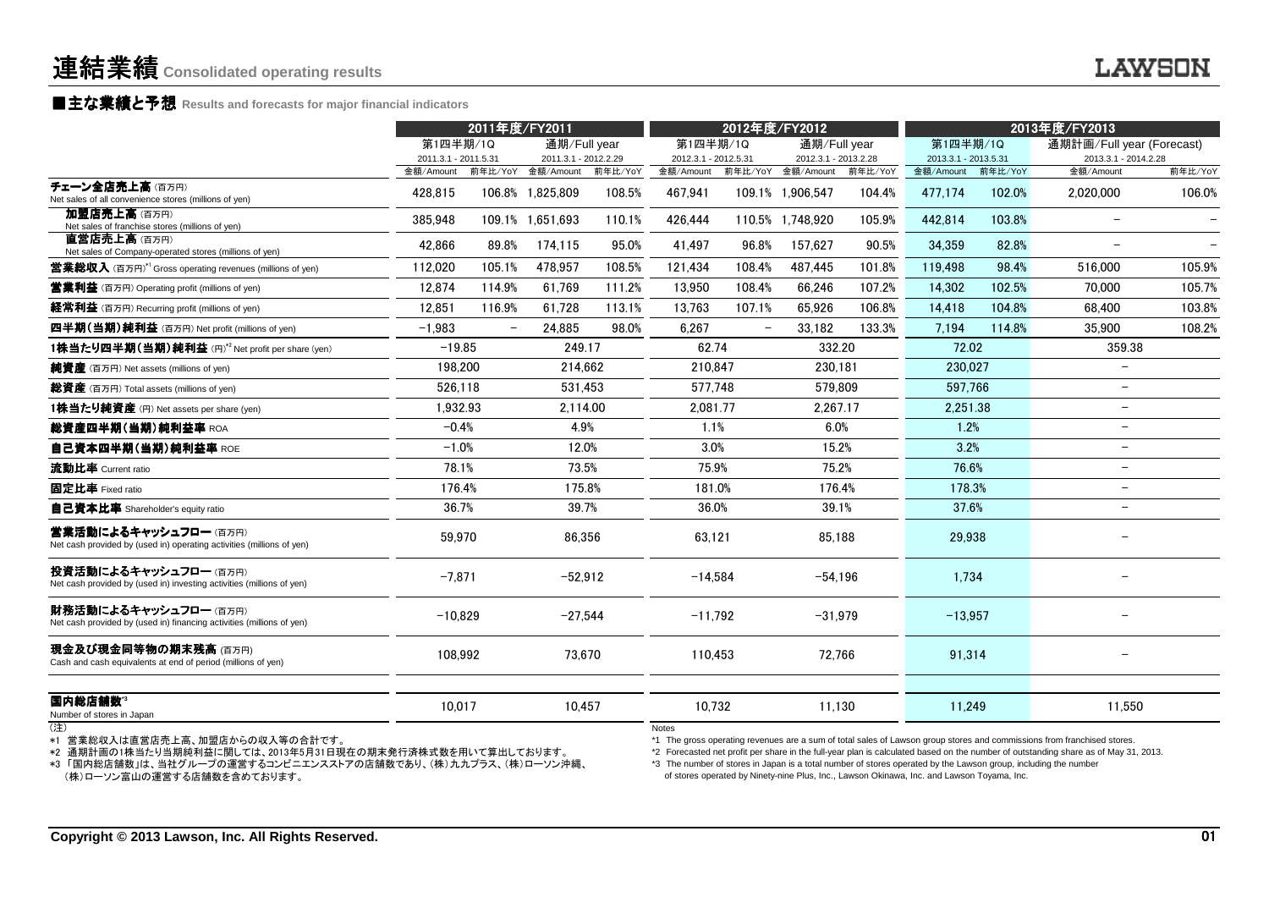### ■主な業績と予想 **Results and forecasts for major financial indicators**

|                                                                                                                                                                                                     | 2011年度/FY2011        |                          |                                       | 2012年度/FY2012     |                          |                          |                                       | 2013年度/FY2013     |                                                                                                                                                                                                               |        |                                                                                                                                                                                                                                                                |                   |
|-----------------------------------------------------------------------------------------------------------------------------------------------------------------------------------------------------|----------------------|--------------------------|---------------------------------------|-------------------|--------------------------|--------------------------|---------------------------------------|-------------------|---------------------------------------------------------------------------------------------------------------------------------------------------------------------------------------------------------------|--------|----------------------------------------------------------------------------------------------------------------------------------------------------------------------------------------------------------------------------------------------------------------|-------------------|
|                                                                                                                                                                                                     | 第1四半期/1Q             |                          | 通期/Full year                          |                   | 通期/Full year<br>第1四半期/1Q |                          |                                       |                   | 第1四半期/1Q<br>通期計画/Full year (Forecast)                                                                                                                                                                         |        |                                                                                                                                                                                                                                                                |                   |
|                                                                                                                                                                                                     | 2011.3.1 - 2011.5.31 |                          | 2011.3.1 - 2012.2.29                  |                   | 2012.3.1 - 2012.5.31     |                          | 2012.3.1 - 2013.2.28                  |                   | 2013.3.1 - 2013.5.31                                                                                                                                                                                          |        | 2013.3.1 - 2014.2.28                                                                                                                                                                                                                                           |                   |
| チェーン全店売上高(百万円)<br>Net sales of all convenience stores (millions of yen)                                                                                                                             | 金額/Amount<br>428.815 |                          | 前年比/YoY 金額/Amount<br>106.8% 1.825.809 | 前年比/YoY<br>108.5% | 金額/Amount<br>467.941     |                          | 前年比/YoY 金額/Amount<br>109.1% 1.906.547 | 前年比/YoY<br>104.4% | 金額/Amount 前年比/YoY<br>477.174                                                                                                                                                                                  | 102.0% | 金額/Amount<br>2.020.000                                                                                                                                                                                                                                         | 前年比/YoY<br>106.0% |
| 加盟店売上高(百万円)<br>Net sales of franchise stores (millions of yen)                                                                                                                                      | 385.948              |                          | 109.1% 1.651.693                      | 110.1%            | 426.444                  |                          | 110.5% 1.748.920                      | 105.9%            | 442.814                                                                                                                                                                                                       | 103.8% | $\overline{\phantom{a}}$                                                                                                                                                                                                                                       | $-$               |
| 直営店売上高(百万円)<br>Net sales of Company-operated stores (millions of yen)                                                                                                                               | 42.866               | 89.8%                    | 174,115                               | 95.0%             | 41.497                   | 96.8%                    | 157.627                               | 90.5%             | 34,359                                                                                                                                                                                                        | 82.8%  | $\overline{\phantom{a}}$                                                                                                                                                                                                                                       |                   |
| <b>営業総収入</b> (百万円) <sup>*1</sup> Gross operating revenues (millions of yen)                                                                                                                         | 112.020              | 105.1%                   | 478.957                               | 108.5%            | 121.434                  | 108.4%                   | 487.445                               | 101.8%            | 119,498                                                                                                                                                                                                       | 98.4%  | 516,000                                                                                                                                                                                                                                                        | 105.9%            |
| <b>営業利益</b> (百万円) Operating profit (millions of yen)                                                                                                                                                | 12,874               | 114.9%                   | 61,769                                | 111.2%            | 13.950                   | 108.4%                   | 66,246                                | 107.2%            | 14,302                                                                                                                                                                                                        | 102.5% | 70,000                                                                                                                                                                                                                                                         | 105.7%            |
| 経常利益 (百万円) Recurring profit (millions of yen)                                                                                                                                                       | 12.851               | 116.9%                   | 61.728                                | 113.1%            | 13.763                   | 107.1%                   | 65.926                                | 106.8%            | 14.418                                                                                                                                                                                                        | 104.8% | 68.400                                                                                                                                                                                                                                                         | 103.8%            |
| 四半期(当期)純利益 (百万円) Net profit (millions of yen)                                                                                                                                                       | $-1.983$             | $\overline{\phantom{m}}$ | 24.885                                | 98.0%             | 6.267                    | $\overline{\phantom{m}}$ | 33,182                                | 133.3%            | 7.194                                                                                                                                                                                                         | 114.8% | 35,900                                                                                                                                                                                                                                                         | 108.2%            |
| 1株当たり四半期(当期)純利益 (円)*2 Net profit per share (yen)                                                                                                                                                    | $-19.85$             |                          | 249.17                                |                   | 62.74                    |                          | 332.20                                |                   | 72.02                                                                                                                                                                                                         |        | 359.38                                                                                                                                                                                                                                                         |                   |
| 純資産 (百万円) Net assets (millions of yen)                                                                                                                                                              | 198.200              |                          | 214.662                               |                   | 210.847                  |                          | 230.181                               |                   | 230.027                                                                                                                                                                                                       |        | $\overline{\phantom{a}}$                                                                                                                                                                                                                                       |                   |
| 総資産 (百万円) Total assets (millions of yen)                                                                                                                                                            | 526,118              |                          | 531,453                               |                   | 577.748                  |                          | 579.809                               |                   | 597,766                                                                                                                                                                                                       |        | $\overline{\phantom{0}}$                                                                                                                                                                                                                                       |                   |
| 1株当たり純資産 (円) Net assets per share (yen)                                                                                                                                                             | 1.932.93             |                          | 2.114.00                              |                   | 2.081.77                 |                          | 2.267.17                              |                   | 2.251.38                                                                                                                                                                                                      |        | $\overline{\phantom{m}}$                                                                                                                                                                                                                                       |                   |
| <b>総資産四半期(当期)純利益率 ROA</b>                                                                                                                                                                           | $-0.4%$              |                          | 4.9%                                  |                   | 1.1%                     |                          | 6.0%                                  |                   | 1.2%                                                                                                                                                                                                          |        | $\overline{\phantom{m}}$                                                                                                                                                                                                                                       |                   |
| 自己資本四半期(当期)純利益率 ROE                                                                                                                                                                                 | $-1.0%$              |                          | 12.0%                                 |                   | 3.0%                     |                          | 15.2%                                 |                   | 3.2%                                                                                                                                                                                                          |        | $\overline{\phantom{0}}$                                                                                                                                                                                                                                       |                   |
| 流動比率 Current ratio                                                                                                                                                                                  | 78.1%                |                          | 73.5%                                 |                   | 75.9%                    |                          | 75.2%                                 |                   | 76.6%                                                                                                                                                                                                         |        | $\overline{\phantom{0}}$                                                                                                                                                                                                                                       |                   |
| 固定比率 Fixed ratio                                                                                                                                                                                    | 176.4%               |                          | 175.8%                                |                   | 181.0%<br>176.4%         |                          |                                       |                   | 178.3%<br>$\overline{\phantom{m}}$                                                                                                                                                                            |        |                                                                                                                                                                                                                                                                |                   |
| <b>自己資本比率</b> Shareholder's equity ratio                                                                                                                                                            | 36.7%                |                          | 39.7%                                 |                   | 36.0%                    |                          | 39.1%                                 |                   | 37.6%                                                                                                                                                                                                         |        | $\overline{\phantom{a}}$                                                                                                                                                                                                                                       |                   |
| 営業活動によるキャッシュフロー(百万円)<br>Net cash provided by (used in) operating activities (millions of yen)                                                                                                       | 59.970               |                          |                                       | 86.356            |                          | 63,121<br>85.188         |                                       |                   | 29.938                                                                                                                                                                                                        |        |                                                                                                                                                                                                                                                                |                   |
| 投資活動によるキャッシュフロー (百万円)<br>Net cash provided by (used in) investing activities (millions of yen)                                                                                                      | $-7,871$             |                          | $-52,912$                             |                   | $-14,584$                |                          | $-54,196$                             |                   | 1,734                                                                                                                                                                                                         |        |                                                                                                                                                                                                                                                                |                   |
| 財務活動によるキャッシュフロー (百万円)<br>Net cash provided by (used in) financing activities (millions of yen)                                                                                                      | $-10,829$            |                          | $-27,544$                             |                   | $-11,792$                |                          | $-31,979$                             |                   | $-13.957$                                                                                                                                                                                                     |        |                                                                                                                                                                                                                                                                |                   |
| 現金及び現金同等物の期末残高 (百万円)<br>Cash and cash equivalents at end of period (millions of yen)                                                                                                                | 108,992              |                          | 73,670                                |                   | 110,453                  |                          | 72,766                                |                   | 91,314                                                                                                                                                                                                        |        |                                                                                                                                                                                                                                                                |                   |
| 国内総店舗数"<br>Number of stores in Japan                                                                                                                                                                | 10,017               |                          | 10,457                                |                   | 10,732                   |                          | 11,130                                |                   | 11.249                                                                                                                                                                                                        |        | 11,550                                                                                                                                                                                                                                                         |                   |
| (注)<br>*1 営業総収入は直営店売上高、加盟店からの収入等の合計です。<br>*2 通期計画の1株当たり当期純利益に関しては、2013年5月31日現在の期末発行済株式数を用いて算出しております。<br>*3 「国内総店舗数」は、当社グループの運営するコンビニエンスストアの店舗数であり、(株)九九プラス、(株)ローソン沖縄、<br>(株)ローソン富山の運営する店舗数を含めております。 |                      |                          |                                       |                   | Notes                    |                          |                                       |                   | *3 The number of stores in Japan is a total number of stores operated by the Lawson group, including the number<br>of stores operated by Ninety-nine Plus, Inc., Lawson Okinawa, Inc. and Lawson Toyama, Inc. |        | *1 The gross operating revenues are a sum of total sales of Lawson group stores and commissions from franchised stores.<br>*2 Forecasted net profit per share in the full-year plan is calculated based on the number of outstanding share as of May 31, 2013. |                   |
| Copyright © 2013 Lawson, Inc. All Rights Reserved.                                                                                                                                                  |                      |                          |                                       |                   |                          |                          |                                       |                   |                                                                                                                                                                                                               |        |                                                                                                                                                                                                                                                                | 01                |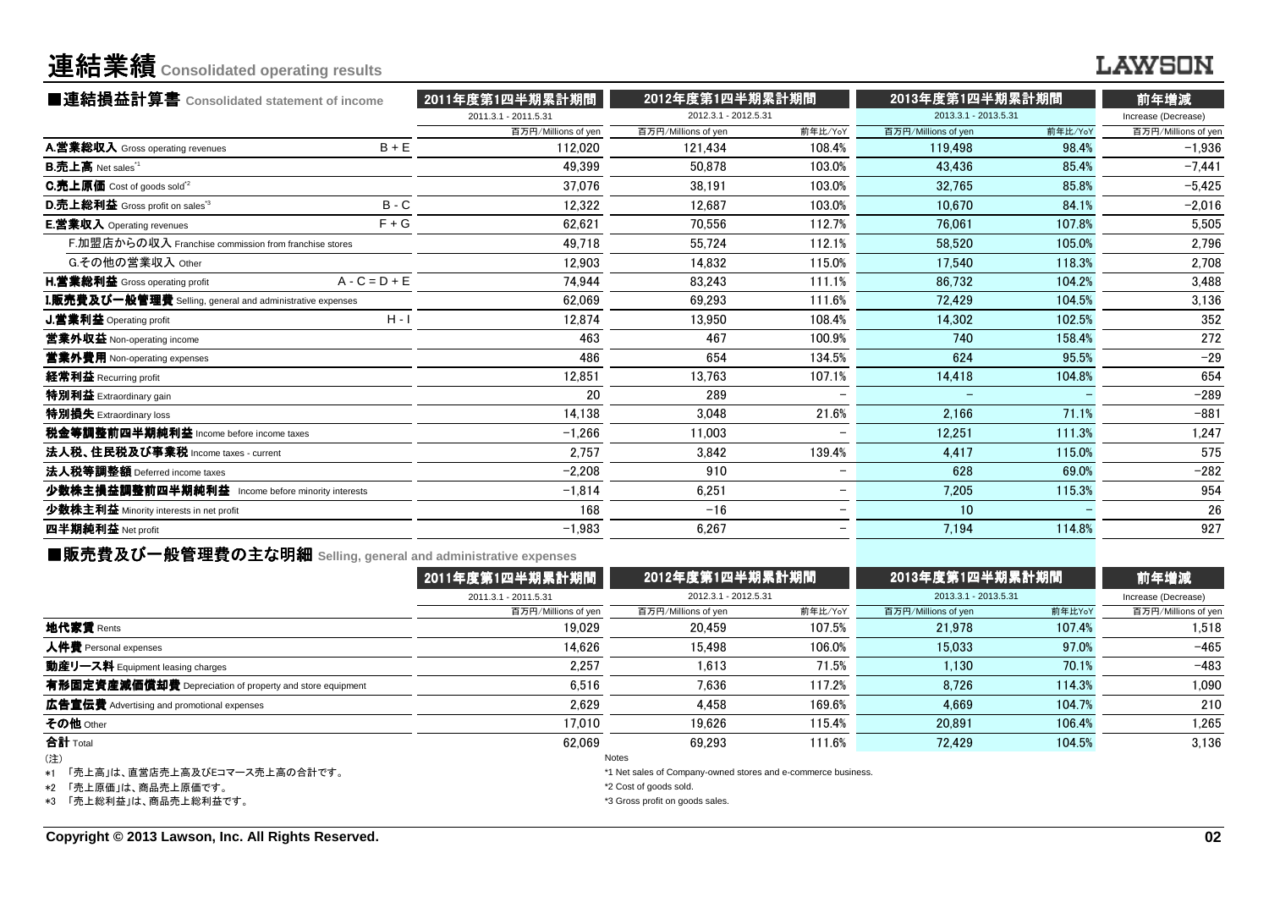# 連結業績**Consolidated operating results**

### **LAWSON**

| ■連結損益計算書 Consolidated statement of income                 |                 | 2011年度第1四半期累計期間      | 2012年度第1四半期累計期間      |                          | 2013年度第1四半期累計期間      |         | 前年増減                |  |
|-----------------------------------------------------------|-----------------|----------------------|----------------------|--------------------------|----------------------|---------|---------------------|--|
|                                                           |                 | 2011.3.1 - 2011.5.31 | 2012.3.1 - 2012.5.31 |                          | 2013.3.1 - 2013.5.31 |         | Increase (Decrease) |  |
|                                                           |                 | 百万円/Millions of yen  | 百万円/Millions of yen  | 前年比/YoY                  | 百万円/Millions of yen  | 前年比/YoY | 百万円/Millions of yen |  |
| A.営業総収入 Gross operating revenues                          | $B + E$         | 112,020              | 121,434              | 108.4%                   | 119,498              | 98.4%   | $-1,936$            |  |
| <b>B.売上高</b> Net sales <sup>*1</sup>                      |                 | 49,399               | 50.878               | 103.0%                   | 43.436               | 85.4%   | $-7,441$            |  |
| C.売上原価 Cost of goods sold <sup>*2</sup>                   |                 | 37,076               | 38.191               | 103.0%                   | 32.765               | 85.8%   | $-5,425$            |  |
| D.売上総利益 Gross profit on sales <sup>3</sup>                | $B - C$         | 12,322               | 12.687               | 103.0%                   | 10.670               | 84.1%   | $-2,016$            |  |
| E.営業収入 Operating revenues                                 | $F + G$         | 62.621               | 70.556               | 112.7%                   | 76.061               | 107.8%  | 5,505               |  |
| F.加盟店からの収入 Franchise commission from franchise stores     |                 | 49,718               | 55,724               | 112.1%                   | 58.520               | 105.0%  | 2,796               |  |
| G.その他の営業収入 Other                                          |                 | 12.903               | 14.832               | 115.0%                   | 17.540               | 118.3%  | 2,708               |  |
| H.営業総利益 Gross operating profit                            | $A - C = D + E$ | 74.944               | 83.243               | 111.1%                   | 86.732               | 104.2%  | 3,488               |  |
| I.販売費及び一般管理費 Selling, general and administrative expenses |                 | 62.069               | 69.293               | 111.6%                   | 72.429               | 104.5%  | 3,136               |  |
| J.営業利益 Operating profit                                   | $H - I$         | 12,874               | 13,950               | 108.4%                   | 14,302               | 102.5%  | 352                 |  |
| 営業外収益 Non-operating income                                |                 | 463                  | 467                  | 100.9%                   | 740                  | 158.4%  | 272                 |  |
| 営業外費用 Non-operating expenses                              |                 | 486                  | 654                  | 134.5%                   | 624                  | 95.5%   | $-29$               |  |
| 経常利益 Recurring profit                                     |                 | 12.851               | 13.763               | 107.1%                   | 14.418               | 104.8%  | 654                 |  |
| 特別利益 Extraordinary gain                                   |                 | 20                   | 289                  |                          |                      |         | $-289$              |  |
| 特別損失 Extraordinary loss                                   |                 | 14,138               | 3.048                | 21.6%                    | 2.166                | 71.1%   | $-881$              |  |
| 税金等調整前四半期純利益 Income before income taxes                   |                 | $-1.266$             | 11.003               |                          | 12.251               | 111.3%  | 1,247               |  |
| 法人税、住民税及び事業税 Income taxes - current                       |                 | 2.757                | 3.842                | 139.4%                   | 4.417                | 115.0%  | 575                 |  |
| 法人税等調整額 Deferred income taxes                             |                 | $-2,208$             | 910                  | $\overline{\phantom{m}}$ | 628                  | 69.0%   | $-282$              |  |
| 少数株主損益調整前四半期純利益 Income before minority interests          |                 | $-1,814$             | 6.251                | $\overline{\phantom{a}}$ | 7,205                | 115.3%  | 954                 |  |
| 少数株主利益 Minority interests in net profit                   |                 | 168                  | $-16$                |                          | 10                   |         | 26                  |  |
| 四半期純利益 Net profit                                         |                 | $-1,983$             | 6,267                |                          | 7,194                | 114.8%  | 927                 |  |
|                                                           |                 |                      |                      |                          |                      |         |                     |  |

■販売費及び一般管理費の主な明細 **Selling, general and administrative expenses**

|                                                          | 2011年度第1四半期累計期間      | 2012年度第1四半期累計期間                                               |         | 2013年度第1四半期累計期間      | 前年増減   |                     |
|----------------------------------------------------------|----------------------|---------------------------------------------------------------|---------|----------------------|--------|---------------------|
|                                                          | 2011.3.1 - 2011.5.31 | 2012.3.1 - 2012.5.31                                          |         | 2013.3.1 - 2013.5.31 |        | Increase (Decrease) |
|                                                          | 百万円/Millions of yen  | 百万円/Millions of yen                                           | 前年比/YoY | 百万円/Millions of yen  | 前年比YoY | 百万円/Millions of yen |
| 地代家賃 Rents                                               | 19.029               | 20.459                                                        | 107.5%  | 21.978               | 107.4% | 1.518               |
| 人件費 Personal expenses                                    | 14.626               | 15.498                                                        | 106.0%  | 15.033               | 97.0%  | $-465$              |
| 動産リース料 Equipment leasing charges                         | 2,257                | 1.613                                                         | 71.5%   | 1.130                | 70.1%  | $-483$              |
| 有形固定資産減価償却費 Depreciation of property and store equipment | 6.516                | 7.636                                                         | 117.2%  | 8.726                | 114.3% | 1.090               |
| 広告宣伝費 Advertising and promotional expenses               | 2.629                | 4.458                                                         | 169.6%  | 4.669                | 104.7% | 210                 |
| その他 Other                                                | 17.010               | 19.626                                                        | 115.4%  | 20.891               | 106.4% | .265                |
| 合計 Total                                                 | 62.069               | 69.293                                                        | 111.6%  | 72.429               | 104.5% | 3.136               |
| (注)                                                      |                      | Notes                                                         |         |                      |        |                     |
| *1 「売上高」は、直営店売上高及びEコマース売上高の合計です。                         |                      | *1 Net sales of Company-owned stores and e-commerce business. |         |                      |        |                     |

\*2 「売上原価」は、商品売上原価です。

\*3 「売上総利益」は、商品売上総利益です。

\*2 Cost of goods sold.

\*3 Gross profit on goods sales.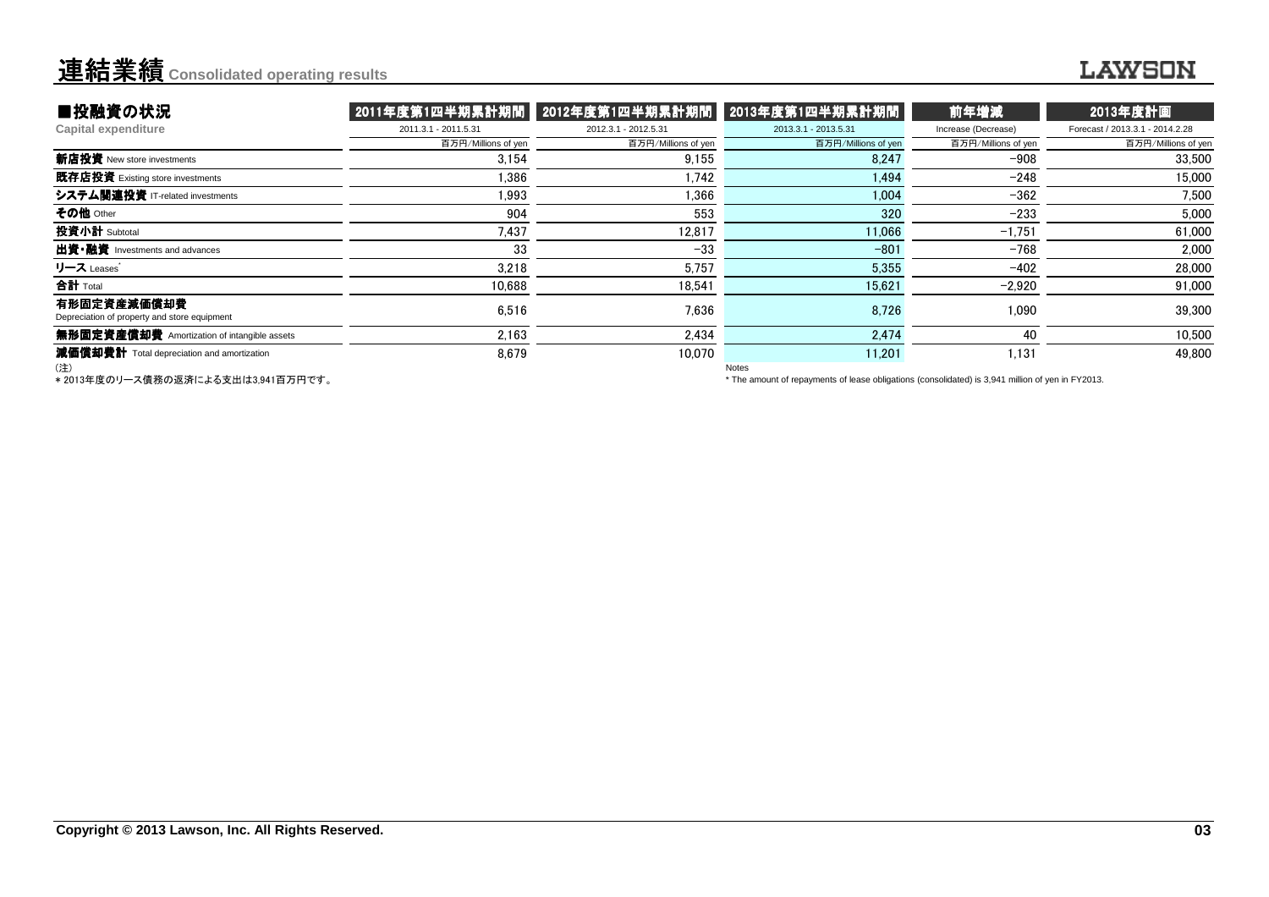### 連結業績**Consolidated operating results**

### **LAWSON**

| ■投融資の状況                                                     |                      | 2011年度第1四半期累計期間    2012年度第1四半期累計期間 | 2013年度第1四半期累計期間      | 前年増減                | 2013年度計画                        |
|-------------------------------------------------------------|----------------------|------------------------------------|----------------------|---------------------|---------------------------------|
| Capital expenditure                                         | 2011.3.1 - 2011.5.31 | 2012.3.1 - 2012.5.31               | 2013.3.1 - 2013.5.31 | Increase (Decrease) | Forecast / 2013.3.1 - 2014.2.28 |
|                                                             | 百万円/Millions of yen  | 百万円/Millions of yen                | 百万円/Millions of yen  | 百万円/Millions of yen | 百万円/Millions of yen             |
| 新店投資 New store investments                                  | 3,154                | 9.155                              | 8.247                | $-908$              | 33,500                          |
| 既存店投資 Existing store investments                            | 1.386                | 1,742                              | 1,494                | $-248$              | 15,000                          |
| システム関連投資 IT-related investments                             | 1.993                | 1.366                              | 1.004                | $-362$              | 7.500                           |
| その他 Other                                                   | 904                  | 553                                | 320                  | $-233$              | 5,000                           |
| 投資小計 Subtotal                                               | 7,437                | 12,817                             | 11,066               | $-1,751$            | 61,000                          |
| 出資•融資 Investments and advances                              | 33                   | $-33$                              | $-801$               | $-768$              | 2.000                           |
| リース Leases                                                  | 3.218                | 5,757                              | 5,355                | $-402$              | 28,000                          |
| 合計 Total                                                    | 10,688               | 18,541                             | 15,621               | $-2,920$            | 91,000                          |
| 有形固定資産減価償却費<br>Depreciation of property and store equipment | 6.516                | 7.636                              | 8.726                | 1.090               | 39,300                          |
| 無形固定資産償却費 Amortization of intangible assets                 | 2.163                | 2.434                              | 2.474                | 40                  | 10,500                          |
| 減価償却費計 Total depreciation and amortization                  | 8,679                | 10.070                             | 11.201               | 1.131               | 49.800                          |
| (注)                                                         |                      |                                    | Notes                |                     |                                 |

\* 2013年度のリース債務の返済による支出は3,941百万円です。

\* The amount of repayments of lease obligations (consolidated) is 3,941 million of yen in FY2013.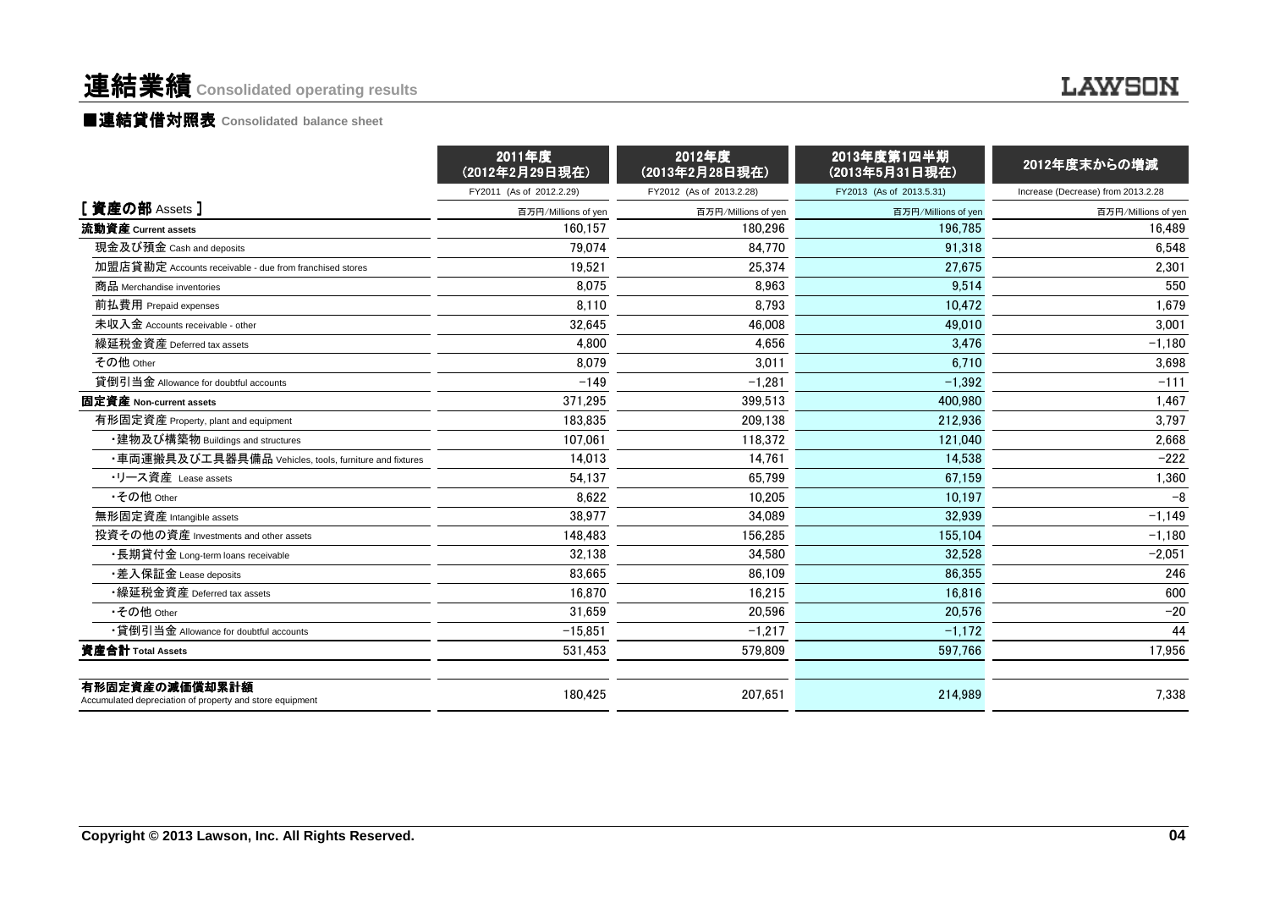# 連結業績 **Consolidated operating results**

### **LAWSON**

### ■連結貸借対照表 Consolidated balance sheet

|                                                                            | 2011年度<br>(2012年2月29日現在) | 2012年度<br>(2013年2月28日現在) | 2013年度第1四半期<br>(2013年5月31日現在) | 2012年度末からの増減                       |
|----------------------------------------------------------------------------|--------------------------|--------------------------|-------------------------------|------------------------------------|
|                                                                            | FY2011 (As of 2012.2.29) | FY2012 (As of 2013.2.28) | FY2013 (As of 2013.5.31)      | Increase (Decrease) from 2013.2.28 |
| [資産の部 Assets]                                                              | 百万円/Millions of yen      | 百万円/Millions of yen      | 百万円/Millions of yen           | 百万円/Millions of yen                |
| 流動資産 Current assets                                                        | 160.157                  | 180.296                  | 196.785                       | 16.489                             |
| 現金及び預金 Cash and deposits                                                   | 79,074                   | 84.770                   | 91.318                        | 6.548                              |
| 加盟店貸勘定 Accounts receivable - due from franchised stores                    | 19,521                   | 25,374                   | 27,675                        | 2,301                              |
| 商品 Merchandise inventories                                                 | 8.075                    | 8.963                    | 9.514                         | 550                                |
| 前払費用 Prepaid expenses                                                      | 8,110                    | 8,793                    | 10,472                        | 1,679                              |
| 未収入金 Accounts receivable - other                                           | 32,645                   | 46.008                   | 49.010                        | 3,001                              |
| 繰延税金資産 Deferred tax assets                                                 | 4,800                    | 4,656                    | 3,476                         | $-1,180$                           |
| その他 Other                                                                  | 8.079                    | 3.011                    | 6.710                         | 3,698                              |
| 貸倒引当金 Allowance for doubtful accounts                                      | $-149$                   | $-1.281$                 | $-1.392$                      | $-111$                             |
| 固定資産 Non-current assets                                                    | 371,295                  | 399,513                  | 400.980                       | 1,467                              |
| 有形固定資産 Property, plant and equipment                                       | 183.835                  | 209.138                  | 212.936                       | 3,797                              |
| ・建物及び構築物 Buildings and structures                                          | 107,061                  | 118,372                  | 121.040                       | 2,668                              |
| ・車両運搬具及び工具器具備品 Vehicles, tools, furniture and fixtures                     | 14.013                   | 14,761                   | 14,538                        | $-222$                             |
| ・リース資産 Lease assets                                                        | 54,137                   | 65.799                   | 67,159                        | 1,360                              |
| •その他 Other                                                                 | 8.622                    | 10.205                   | 10.197                        | $-8$                               |
| 無形固定資産 Intangible assets                                                   | 38.977                   | 34.089                   | 32.939                        | $-1,149$                           |
| 投資その他の資産 Investments and other assets                                      | 148.483                  | 156.285                  | 155,104                       | $-1,180$                           |
| ・長期貸付金 Long-term loans receivable                                          | 32,138                   | 34,580                   | 32.528                        | $-2,051$                           |
| •差入保証金 Lease deposits                                                      | 83.665                   | 86.109                   | 86.355                        | 246                                |
| •繰延税金資産 Deferred tax assets                                                | 16,870                   | 16,215                   | 16,816                        | 600                                |
| •その他 Other                                                                 | 31.659                   | 20.596                   | 20.576                        | $-20$                              |
| • 貸倒引当金 Allowance for doubtful accounts                                    | $-15,851$                | $-1,217$                 | $-1,172$                      | 44                                 |
| 資産合計 Total Assets                                                          | 531,453                  | 579.809                  | 597.766                       | 17,956                             |
| 有形固定資産の減価償却累計額<br>Accumulated depreciation of property and store equipment | 180,425                  | 207,651                  | 214,989                       | 7,338                              |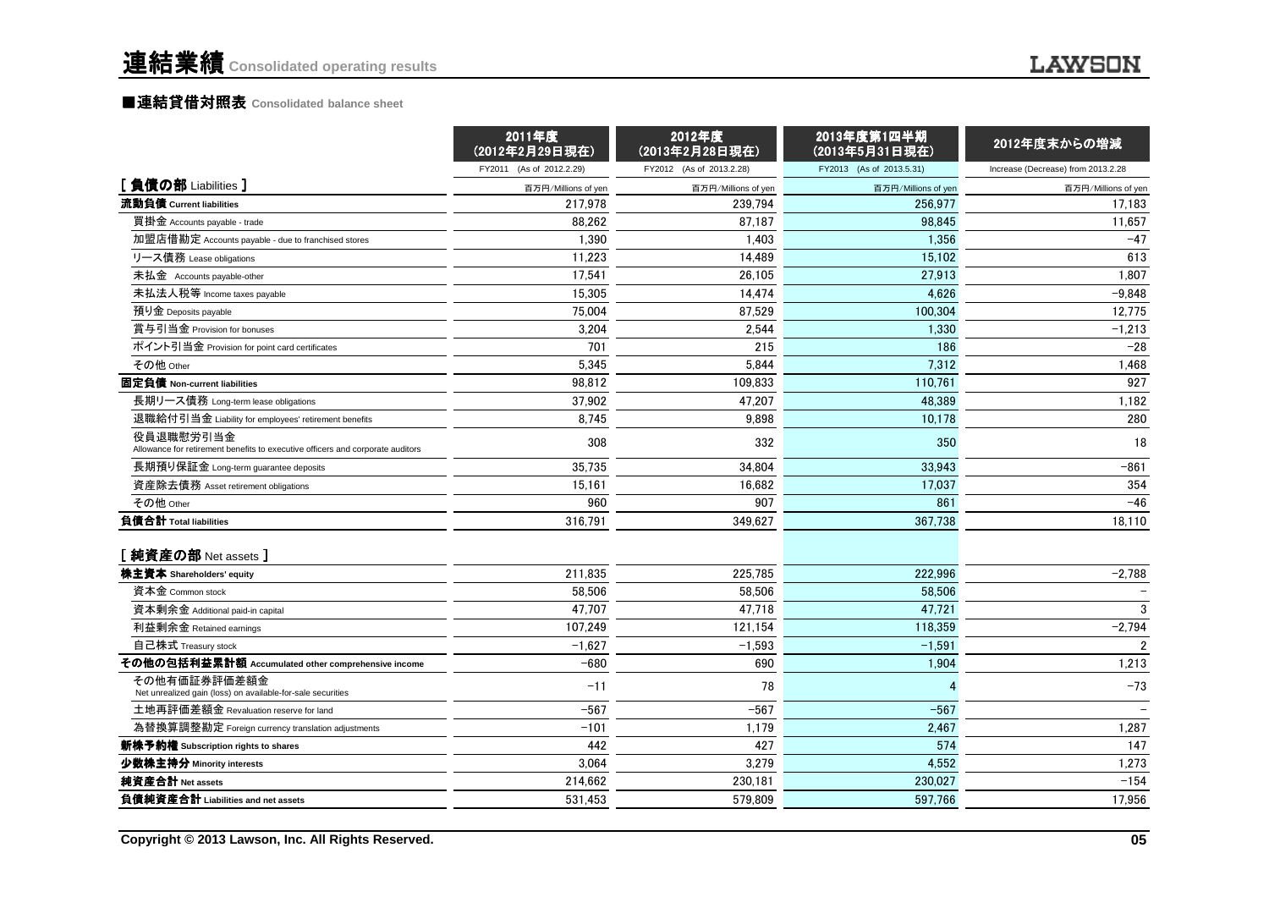|                                                                                             | 2011年度<br>(2012年2月29日現在) | 2012年度<br>(2013年2月28日現在) | 2013年度第1四半期<br>(2013年5月31日現在) | 2012年度末からの増減                       |
|---------------------------------------------------------------------------------------------|--------------------------|--------------------------|-------------------------------|------------------------------------|
|                                                                                             | FY2011 (As of 2012.2.29) | FY2012 (As of 2013.2.28) | FY2013 (As of 2013.5.31)      | Increase (Decrease) from 2013.2.28 |
| [負債の部 Liabilities]                                                                          | 百万円/Millions of yen      | 百万円/Millions of yen      | 百万円/Millions of yen           | 百万円/Millions of yen                |
| 流動負債 Current liabilities                                                                    | 217,978                  | 239,794                  | 256.977                       | 17,183                             |
| 買掛金 Accounts payable - trade                                                                | 88,262                   | 87,187                   | 98,845                        | 11,657                             |
| 加盟店借勘定 Accounts payable - due to franchised stores                                          | 1,390                    | 1,403                    | 1,356                         | $-47$                              |
| リース債務 Lease obligations                                                                     | 11,223                   | 14,489                   | 15,102                        | 613                                |
| 未払金 Accounts payable-other                                                                  | 17,541                   | 26,105                   | 27.913                        | 1,807                              |
| 未払法人税等 Income taxes payable                                                                 | 15,305                   | 14,474                   | 4,626                         | $-9,848$                           |
| 預り金 Deposits payable                                                                        | 75,004                   | 87.529                   | 100.304                       | 12.775                             |
| 賞与引当金 Provision for bonuses                                                                 | 3,204                    | 2,544                    | 1,330                         | $-1,213$                           |
| ポイント引当金 Provision for point card certificates                                               | 701                      | 215                      | 186                           | $-28$                              |
| その他 Other                                                                                   | 5,345                    | 5,844                    | 7,312                         | 1,468                              |
| 固定負債 Non-current liabilities                                                                | 98.812                   | 109.833                  | 110.761                       | 927                                |
| 長期リース債務 Long-term lease obligations                                                         | 37,902                   | 47,207                   | 48,389                        | 1,182                              |
| 退職給付引当金 Liability for employees' retirement benefits                                        | 8,745                    | 9,898                    | 10,178                        | 280                                |
| 役員退職慰労引当金<br>Allowance for retirement benefits to executive officers and corporate auditors | 308                      | 332                      | 350                           | 18                                 |
| 長期預り保証金 Long-term guarantee deposits                                                        | 35,735                   | 34,804                   | 33,943                        | $-861$                             |
| 資産除去債務 Asset retirement obligations                                                         | 15,161                   | 16,682                   | 17,037                        | 354                                |
| その他 Other                                                                                   | 960                      | 907                      | 861                           | $-46$                              |
| 負債合計 Total liabilities                                                                      | 316,791                  | 349,627                  | 367,738                       | 18,110                             |
| [純資産の部 Net assets ]                                                                         |                          |                          |                               |                                    |
| 株主資本 Shareholders' equity                                                                   | 211.835                  | 225.785                  | 222.996                       | $-2,788$                           |
| 資本金 Common stock                                                                            | 58,506                   | 58,506                   | 58,506                        |                                    |
| 資本剰余金 Additional paid-in capital                                                            | 47.707                   | 47.718                   | 47.721                        | 3                                  |
| 利益剰余金 Retained earnings                                                                     | 107,249                  | 121,154                  | 118,359                       | $-2,794$                           |
| 自己株式 Treasury stock                                                                         | $-1.627$                 | $-1,593$                 | $-1,591$                      | $\overline{2}$                     |
| その他の包括利益累計額 Accumulated other comprehensive income                                          | $-680$                   | 690                      | 1,904                         | 1,213                              |
| その他有価証券評価差額金<br>Net unrealized gain (loss) on available-for-sale securities                 | $-11$                    | 78                       | Δ                             | $-73$                              |
| 土地再評価差額金 Revaluation reserve for land                                                       | $-567$                   | $-567$                   | $-567$                        |                                    |
| 為替換算調整勘定 Foreign currency translation adjustments                                           | $-101$                   | 1,179                    | 2,467                         | 1,287                              |
| 新株予約権 Subscription rights to shares                                                         | 442                      | 427                      | 574                           | 147                                |
| 少数株主持分 Minority interests                                                                   | 3,064                    | 3,279                    | 4,552                         | 1,273                              |
| 純資産合計 Net assets                                                                            | 214,662                  | 230,181                  | 230,027                       | $-154$                             |
| 負債純資産合計 Liabilities and net assets                                                          | 531,453                  | 579,809                  | 597.766                       | 17,956                             |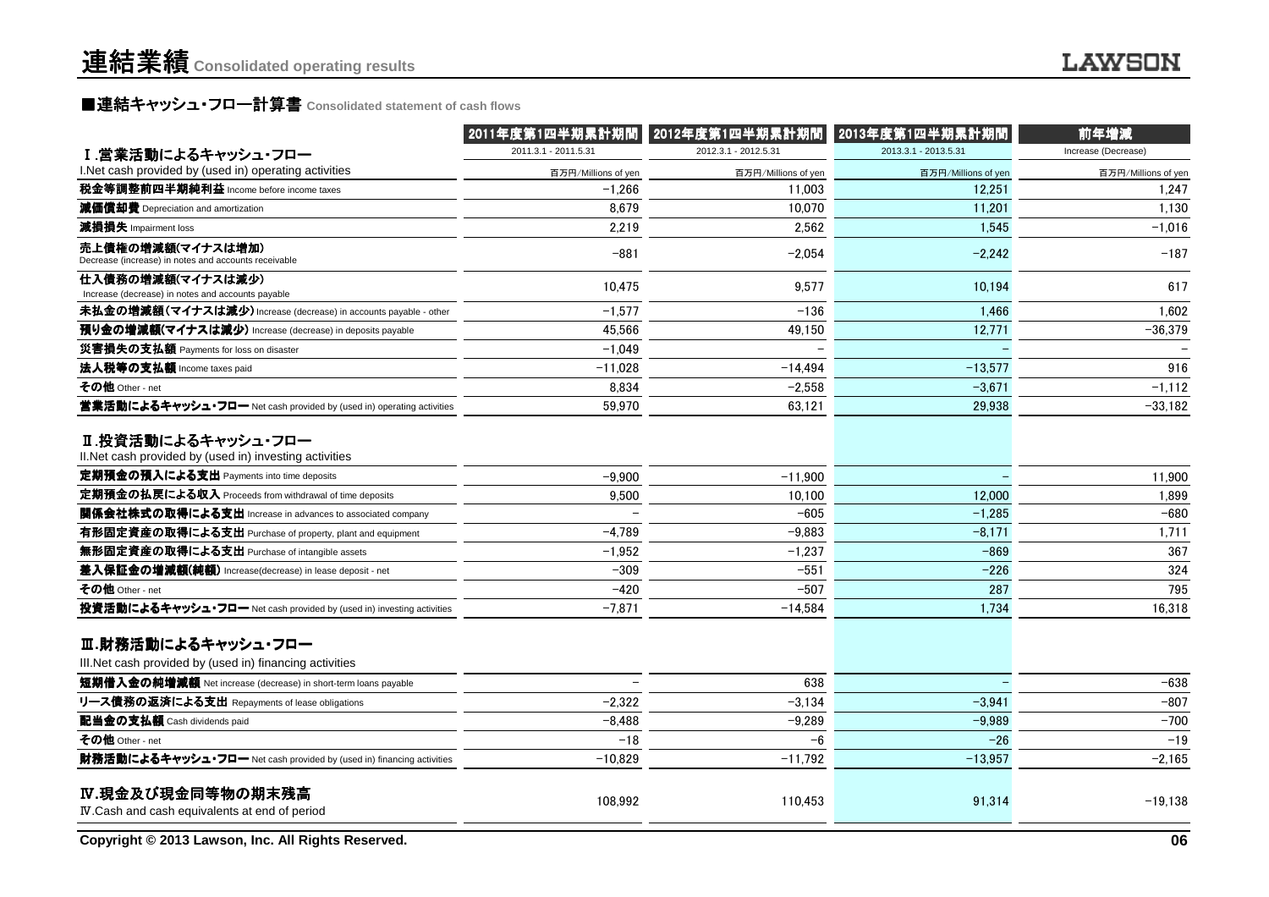# ■連結キャッシュ・フロー計算書 Consolidated statement of cash flows<br>————————————————————

|                                                                                | 2011年度第1四半期累計期間      | 2012年度第1四半期累計期間      | 2013年度第1四半期累計期間      | 前年増減                |
|--------------------------------------------------------------------------------|----------------------|----------------------|----------------------|---------------------|
| Ⅰ.営業活動によるキャッシュ・フロー                                                             | 2011.3.1 - 2011.5.31 | 2012.3.1 - 2012.5.31 | 2013.3.1 - 2013.5.31 | Increase (Decrease) |
| I.Net cash provided by (used in) operating activities                          | 百万円/Millions of yen  | 百万円/Millions of yen  | 百万円/Millions of yen  | 百万円/Millions of yen |
| 税金等調整前四半期純利益 Income before income taxes                                        | $-1.266$             | 11.003               | 12.251               | 1.247               |
| 減価償却費 Depreciation and amortization                                            | 8.679                | 10.070               | 11,201               | 1,130               |
| 減損損失 Impairment loss                                                           | 2,219                | 2,562                | 1,545                | -1,016              |
| 売上債権の増減額(マイナスは増加)<br>Decrease (increase) in notes and accounts receivable      | $-881$               | $-2.054$             | $-2.242$             | $-187$              |
| 仕入債務の増減額(マイナスは減少)<br>Increase (decrease) in notes and accounts payable         | 10.475               | 9.577                | 10.194               | 617                 |
| 未払金の増減額(マイナスは減少) Increase (decrease) in accounts payable - other               | $-1,577$             | $-136$               | 1,466                | 1,602               |
| 預り金の増減額(マイナスは減少) Increase (decrease) in deposits payable                       | 45,566               | 49,150               | 12,771               | $-36,379$           |
| 災害損失の支払額 Payments for loss on disaster                                         | $-1,049$             |                      |                      |                     |
| 法人税等の支払額 Income taxes paid                                                     | $-11,028$            | $-14,494$            | $-13,577$            | 916                 |
| その他 Other - net                                                                | 8,834                | $-2,558$             | $-3,671$             | $-1,112$            |
| 営業活動によるキャッシュ・フロー Net cash provided by (used in) operating activities           | 59.970               | 63,121               | 29.938               | $-33,182$           |
| Ⅱ.投資活動によるキャッシュ・フロー<br>II. Net cash provided by (used in) investing activities  |                      |                      |                      |                     |
| 定期預金の預入による支出 Payments into time deposits                                       | $-9.900$             | $-11,900$            |                      | 11,900              |
| 定期預金の払戻による収入 Proceeds from withdrawal of time deposits                         | 9,500                | 10.100               | 12,000               | 1,899               |
| 関係会社株式の取得による支出 Increase in advances to associated company                      |                      | $-605$               | $-1.285$             | $-680$              |
| 有形固定資産の取得による支出 Purchase of property, plant and equipment                       | $-4,789$             | -9,883               | $-8,171$             | 1,711               |
| 無形固定資産の取得による支出 Purchase of intangible assets                                   | $-1,952$             | $-1,237$             | $-869$               | 367                 |
| 差入保証金の増減額(純額) Increase(decrease) in lease deposit - net                        | $-309$               | $-551$               | $-226$               | 324                 |
| その他 Other - net                                                                | $-420$               | $-507$               | 287                  | 795                 |
| 投資活動によるキャッシュ・フロー Net cash provided by (used in) investing activities           | $-7,871$             | $-14,584$            | 1,734                | 16,318              |
| Ⅲ.財務活動によるキャッシュ・フロー<br>III. Net cash provided by (used in) financing activities |                      |                      |                      |                     |
| 短期借入金の純増減額 Net increase (decrease) in short-term loans payable                 |                      | 638                  |                      | $-638$              |
| リース債務の返済による支出 Repayments of lease obligations                                  | $-2.322$             | $-3,134$             | $-3.941$             | $-807$              |
| 配当金の支払額 Cash dividends paid                                                    | $-8.488$             | $-9,289$             | $-9,989$             | $-700$              |
| その他 Other - net                                                                | $-18$                | $-6$                 | $-26$                | $-19$               |
| 財務活動によるキャッシュ・フロー Net cash provided by (used in) financing activities           | $-10.829$            | $-11.792$            | $-13.957$            | $-2,165$            |
| IV.現金及び現金同等物の期末残高<br>IV.Cash and cash equivalents at end of period             | 108,992              | 110,453              | 91,314               | $-19,138$           |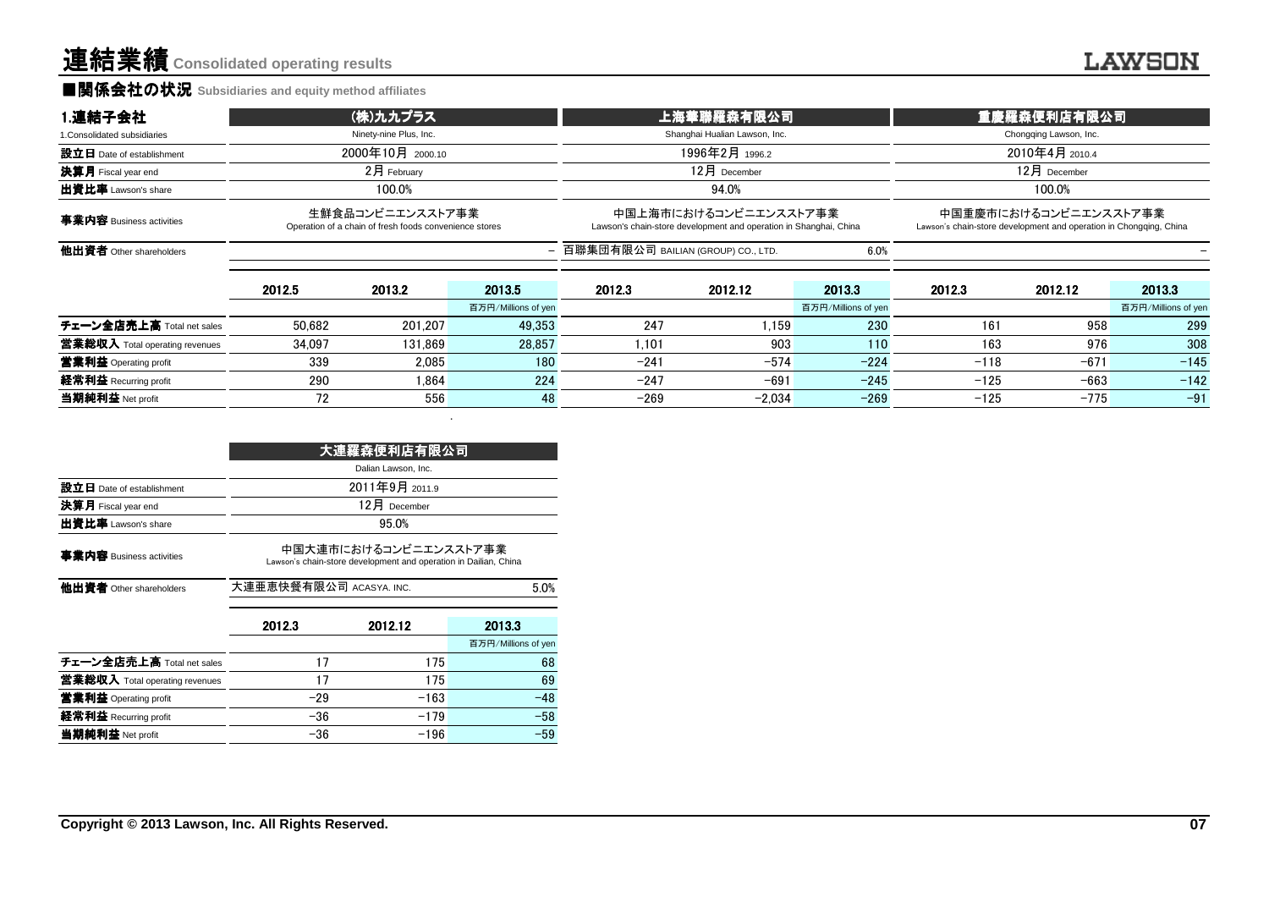#### ■関係会社の状況 **Subsidiaries and equity method affiliates**

| 1.連結子会社                        |                | (株)九九プラス                                                                   |                     |                                                                                            | 上海華聯羅森有限公司                                   |                     |                                                                                             | 重慶羅森便利店有限公司    |                     |  |
|--------------------------------|----------------|----------------------------------------------------------------------------|---------------------|--------------------------------------------------------------------------------------------|----------------------------------------------|---------------------|---------------------------------------------------------------------------------------------|----------------|---------------------|--|
| 1. Consolidated subsidiaries   |                | Ninety-nine Plus, Inc.                                                     |                     | Shanghai Hualian Lawson, Inc.                                                              |                                              |                     | Chongqing Lawson, Inc.                                                                      |                |                     |  |
| 設立日 Date of establishment      |                | 2000年10月 2000.10                                                           |                     |                                                                                            | 1996年2月 1996.2                               |                     |                                                                                             | 2010年4月 2010.4 |                     |  |
| 決算月 Fiscal year end            | $2$ 月 February |                                                                            |                     |                                                                                            | $12月$ December                               |                     |                                                                                             | $12月$ December |                     |  |
| 出資比率 Lawson's share            | 100.0%         |                                                                            |                     |                                                                                            | 94.0%                                        |                     |                                                                                             | 100.0%         |                     |  |
| 事業内容 Business activities       |                | 生鮮食品コンビニエンスストア事業<br>Operation of a chain of fresh foods convenience stores |                     | 中国上海市におけるコンビニエンスストア事業<br>Lawson's chain-store development and operation in Shanghai, China |                                              |                     | 中国重慶市におけるコンビニエンスストア事業<br>Lawson's chain-store development and operation in Chongqing, China |                |                     |  |
| 他出資者 Other shareholders        |                |                                                                            |                     |                                                                                            | - 百聯集団有限公司 BAILIAN (GROUP) CO., LTD.<br>6.0% |                     |                                                                                             |                |                     |  |
|                                | 2012.5         | 2013.2                                                                     | 2013.5              | 2012.3                                                                                     | 2012.12                                      | 2013.3              | 2012.3                                                                                      | 2012.12        | 2013.3              |  |
|                                |                |                                                                            | 百万円/Millions of yen |                                                                                            |                                              | 百万円/Millions of yen |                                                                                             |                | 百万円/Millions of yen |  |
| チェーン全店売上高 Total net sales      | 50,682         | 201.207                                                                    | 49.353              | 247                                                                                        | 1.159                                        | 230                 | 161                                                                                         | 958            | 299                 |  |
| 営業総収入 Total operating revenues | 34.097         | 131.869                                                                    | 28.857              | 1,101                                                                                      | 903                                          | 110                 | 163                                                                                         | 976            | 308                 |  |
| 営業利益 Operating profit          | 339            | 2.085                                                                      | 180                 | $-241$                                                                                     | $-574$                                       | $-224$              | $-118$                                                                                      | $-671$         | $-145$              |  |
| 経常利益 Recurring profit          | 290            | 1.864                                                                      | 224                 | $-247$                                                                                     | $-691$                                       | $-245$              | $-125$                                                                                      | $-663$         | $-142$              |  |
| 当期純利益 Net profit               | 72             | 556                                                                        | 48                  | $-269$                                                                                     | $-2.034$                                     | $-269$              | $-125$                                                                                      | $-775$         | $-91$               |  |

| 大連羅森便利店有限公司                                                                               |                |                         |  |  |  |  |  |
|-------------------------------------------------------------------------------------------|----------------|-------------------------|--|--|--|--|--|
| Dalian Lawson, Inc.                                                                       |                |                         |  |  |  |  |  |
|                                                                                           | 2011年9月 2011.9 |                         |  |  |  |  |  |
| 12月 December                                                                              |                |                         |  |  |  |  |  |
| 95.0%                                                                                     |                |                         |  |  |  |  |  |
| 中国大連市におけるコンビニエンスストア事業<br>Lawson's chain-store development and operation in Dailian, China |                |                         |  |  |  |  |  |
|                                                                                           | 5.0%           |                         |  |  |  |  |  |
| 2012.3                                                                                    | 2012.12        | 2013.3                  |  |  |  |  |  |
|                                                                                           |                | 百万円/Millions of yen     |  |  |  |  |  |
| 17                                                                                        | 175            | 68                      |  |  |  |  |  |
| 17                                                                                        | 175            | 69                      |  |  |  |  |  |
| $-29$                                                                                     | -163           | $-48$                   |  |  |  |  |  |
| $-36$                                                                                     | $-179$         | $-58$                   |  |  |  |  |  |
| -36<br>-196                                                                               |                |                         |  |  |  |  |  |
|                                                                                           |                | 大連亜恵快餐有限公司 ACASYA. INC. |  |  |  |  |  |

.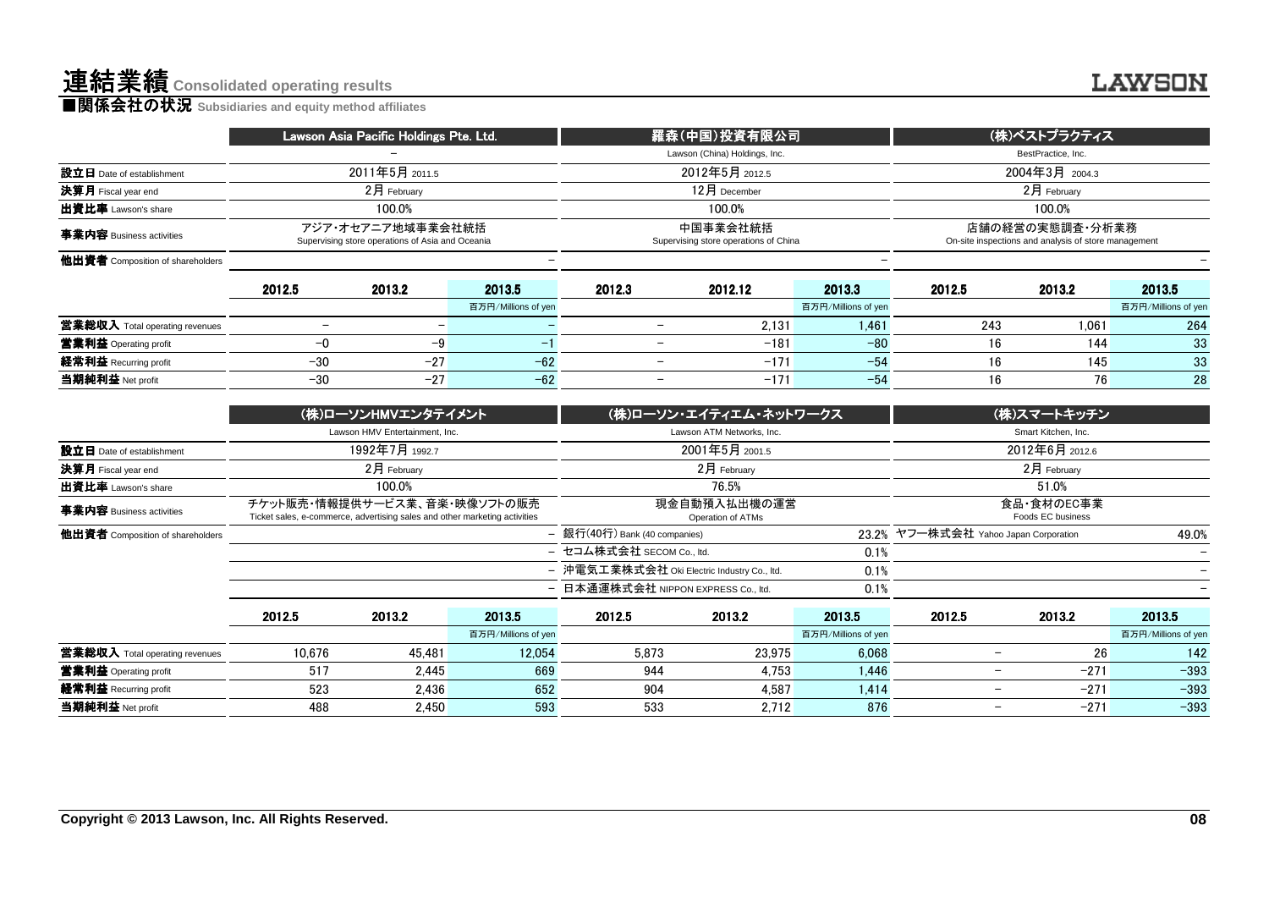|                                  |                          | Lawson Asia Pacific Holdings Pte. Ltd.                                |                     |                                                   | 羅森(中国)投資有限公司                  |                     | (株)ベストプラクティス                                                            |                     |                     |  |
|----------------------------------|--------------------------|-----------------------------------------------------------------------|---------------------|---------------------------------------------------|-------------------------------|---------------------|-------------------------------------------------------------------------|---------------------|---------------------|--|
|                                  |                          |                                                                       |                     |                                                   | Lawson (China) Holdings, Inc. |                     | BestPractice, Inc.                                                      |                     |                     |  |
| 設立日 Date of establishment        |                          | 2011年5月 2011.5                                                        |                     | 2012年5月 2012.5                                    |                               |                     |                                                                         | 2004年3月 2004.3      |                     |  |
| 決算月 Fiscal year end              | $2月$ February            |                                                                       |                     |                                                   | $12月$ December                |                     |                                                                         | $2月$ February       |                     |  |
| 出資比率 Lawson's share              |                          | 100.0%                                                                |                     |                                                   | 100.0%                        |                     |                                                                         | 100.0%              |                     |  |
| 事業内容 Business activities         |                          | アジア・オセアニア地域事業会社統括<br>Supervising store operations of Asia and Oceania |                     | 中国事業会社統括<br>Supervising store operations of China |                               |                     | 店舗の経営の実態調査・分析業務<br>On-site inspections and analysis of store management |                     |                     |  |
| 他出資者 Composition of shareholders |                          |                                                                       |                     |                                                   |                               |                     |                                                                         |                     |                     |  |
|                                  | 2012.5                   | 2013.2                                                                | 2013.5              | 2012.3                                            | 2012.12                       | 2013.3              | 2012.5                                                                  | 2013.2              | 2013.5              |  |
|                                  |                          |                                                                       | 百万円/Millions of yen |                                                   |                               | 百万円/Millions of yen |                                                                         |                     | 百万円/Millions of yen |  |
| 営業総収入 Total operating revenues   | $\overline{\phantom{0}}$ |                                                                       |                     |                                                   | 2.131                         | 1.461               | 243                                                                     | 1.061               | 264                 |  |
| 営業利益 Operating profit            | $-0$                     | $-9$                                                                  | $-1$                |                                                   | $-181$                        | $-80$               | 16                                                                      | 144                 | 33                  |  |
| 経常利益 Recurring profit            | $-30$                    | $-27$                                                                 | $-62$               |                                                   | $-171$                        | $-54$               | 16                                                                      | 145                 | 33                  |  |
| 当期純利益 Net profit                 | $-30$                    | $-27$                                                                 | $-62$               |                                                   | $-171$                        | $-54$               | 16                                                                      | 76                  | 28                  |  |
|                                  |                          |                                                                       |                     |                                                   |                               |                     |                                                                         |                     |                     |  |
|                                  |                          | (株)ローソンHMVエンタテイメント                                                    |                     |                                                   | (株)ローソン・エイティエム・ネットワークス        |                     |                                                                         | (株)スマートキッチン         |                     |  |
|                                  |                          | Lawson HMV Entertainment, Inc.                                        |                     |                                                   | Lawson ATM Networks, Inc.     |                     |                                                                         | Smart Kitchen, Inc. |                     |  |
| 設立日 Date of establishment        | 1992年7月 1992.7           |                                                                       |                     | 2001年5月 2001.5                                    |                               |                     | 2012年6月 2012.6                                                          |                     |                     |  |
| 決算月 Fiscal year end              |                          | 2月 February                                                           |                     |                                                   | 2月 February                   |                     |                                                                         | 2月 February         |                     |  |
| 出資比率 Lawson's share              |                          | 100.0%                                                                |                     | 76.5%                                             |                               |                     | 51.0%                                                                   |                     |                     |  |

|             |                |        | (株)ローソン・エイティエム・ネットワークス                                                                                                                                             |                                                    |                                                                                                                                                                                                           | (株)スマートキッチン         |                                      |                                                         |  |
|-------------|----------------|--------|--------------------------------------------------------------------------------------------------------------------------------------------------------------------|----------------------------------------------------|-----------------------------------------------------------------------------------------------------------------------------------------------------------------------------------------------------------|---------------------|--------------------------------------|---------------------------------------------------------|--|
|             |                |        |                                                                                                                                                                    |                                                    |                                                                                                                                                                                                           | Smart Kitchen, Inc. |                                      |                                                         |  |
|             | 1992年7月 1992.7 |        |                                                                                                                                                                    |                                                    |                                                                                                                                                                                                           |                     |                                      |                                                         |  |
| 2月 February |                |        |                                                                                                                                                                    | $2$ 月 February                                     |                                                                                                                                                                                                           |                     | $2月$ February                        |                                                         |  |
| 100.0%      |                |        |                                                                                                                                                                    | 76.5%                                              |                                                                                                                                                                                                           |                     | 51.0%                                |                                                         |  |
|             |                |        |                                                                                                                                                                    | 現金自動預入払出機の運営<br>Operation of ATMs                  |                                                                                                                                                                                                           |                     | 食品·食材のEC事業<br>Foods EC business      |                                                         |  |
|             |                |        |                                                                                                                                                                    |                                                    |                                                                                                                                                                                                           |                     |                                      | 49.0%                                                   |  |
|             |                |        | 0.1%                                                                                                                                                               |                                                    |                                                                                                                                                                                                           |                     |                                      |                                                         |  |
|             |                |        |                                                                                                                                                                    |                                                    | 0.1%                                                                                                                                                                                                      |                     |                                      |                                                         |  |
|             |                |        |                                                                                                                                                                    |                                                    |                                                                                                                                                                                                           |                     |                                      |                                                         |  |
| 2012.5      | 2013.2         | 2013.5 | 2012.5                                                                                                                                                             | 2013.2                                             | 2013.5                                                                                                                                                                                                    | 2012.5              | 2013.2                               | 2013.5                                                  |  |
|             |                |        |                                                                                                                                                                    |                                                    |                                                                                                                                                                                                           |                     |                                      | 百万円/Millions of yen                                     |  |
| 10.676      | 45.481         |        | 5.873                                                                                                                                                              |                                                    | 6.068                                                                                                                                                                                                     |                     | 26                                   | 142                                                     |  |
| 517         | 2.445          |        | 944                                                                                                                                                                | 4.753                                              |                                                                                                                                                                                                           |                     | $-271$                               | $-393$                                                  |  |
| 523         | 2.436          |        | 904<br>1.414<br>4.587                                                                                                                                              |                                                    |                                                                                                                                                                                                           |                     | $-271$                               | $-393$                                                  |  |
| 488         | 2.450          |        | 533                                                                                                                                                                | 2.712                                              | 876                                                                                                                                                                                                       |                     | $-271$                               | $-393$                                                  |  |
|             |                |        | (株)ローソンHMVエンタテイメント<br>Lawson HMV Entertainment, Inc.<br>チケット販売・情報提供サービス業、音楽・映像ソフトの販売<br>Ticket sales, e-commerce, advertising sales and other marketing activities | 百万円/Millions of yen<br>12.054<br>669<br>652<br>593 | Lawson ATM Networks, Inc.<br>2001年5月 2001.5<br>- 銀行(40行) Bank (40 companies)<br>- セコム株式会社 SECOM Co., ltd.<br>- 沖電気工業株式会社 Oki Electric Industry Co., ltd.<br>- 日本通運株式会社 NIPPON EXPRESS Co., ltd.<br>23.975 |                     | 0.1%<br>百万円/Millions of yen<br>1.446 | 2012年6月 2012.6<br>23.2% ヤフー株式会社 Yahoo Japan Corporation |  |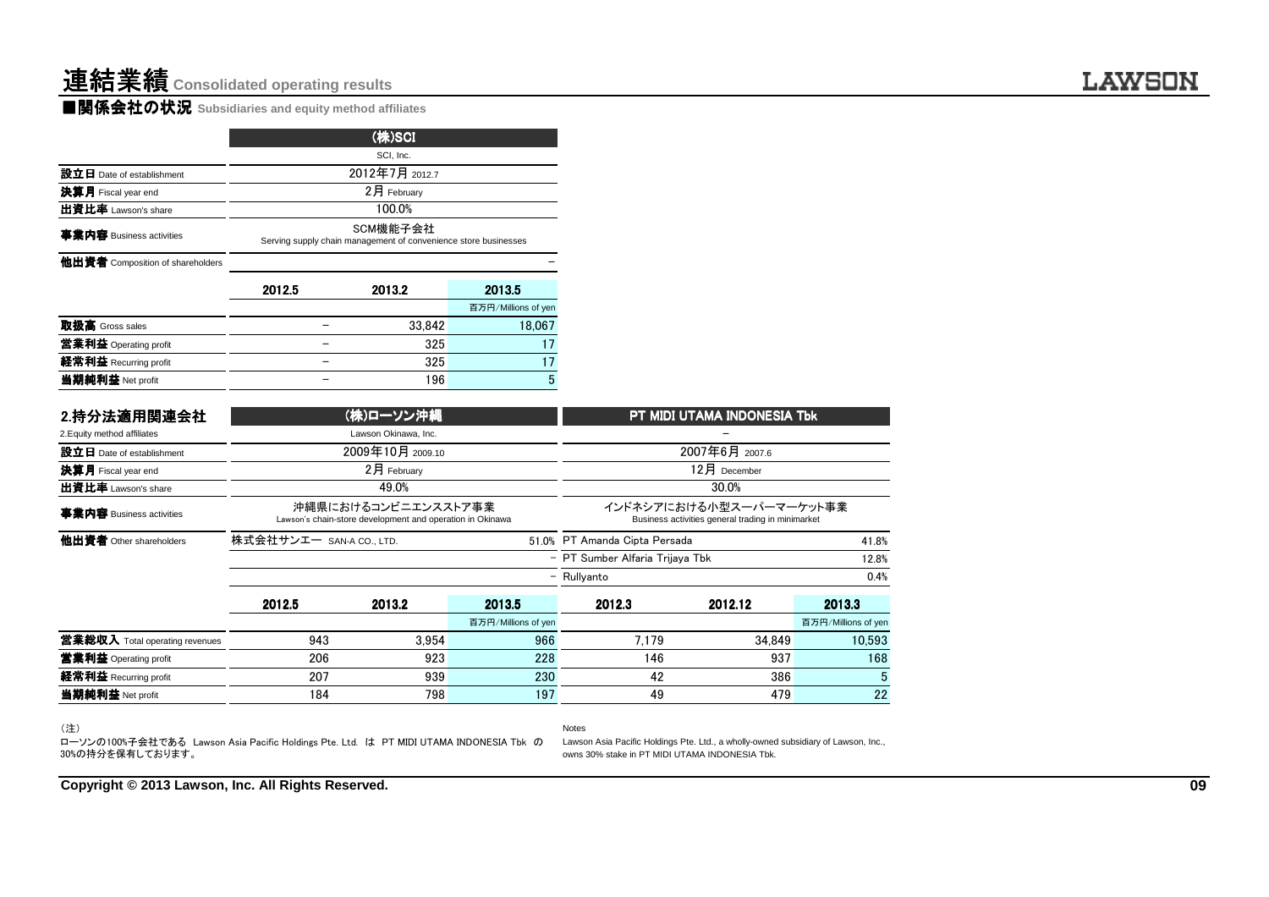**■関係会社の状況 Subsidiaries and equity method affiliates** 

|                                  |                                                                             | (株)SCI |                     |  |  |  |  |  |
|----------------------------------|-----------------------------------------------------------------------------|--------|---------------------|--|--|--|--|--|
|                                  | SCI, Inc.                                                                   |        |                     |  |  |  |  |  |
| 設立日 Date of establishment        | 2012年7月 2012.7                                                              |        |                     |  |  |  |  |  |
| 決算月 Fiscal year end              | 2月 February                                                                 |        |                     |  |  |  |  |  |
| 出資比率 Lawson's share              | 100.0%                                                                      |        |                     |  |  |  |  |  |
| 事業内容 Business activities         | SCM機能子会社<br>Serving supply chain management of convenience store businesses |        |                     |  |  |  |  |  |
| 他出資者 Composition of shareholders |                                                                             |        |                     |  |  |  |  |  |
|                                  | 2012.5                                                                      | 2013.2 | 2013.5              |  |  |  |  |  |
|                                  |                                                                             |        | 百万円/Millions of yen |  |  |  |  |  |
| 取扱高 Gross sales                  |                                                                             | 33.842 | 18.067              |  |  |  |  |  |
| 営業利益 Operating profit            |                                                                             | 325    | 17                  |  |  |  |  |  |
| 経常利益 Recurring profit            |                                                                             | 325    | 17                  |  |  |  |  |  |
| 当期純利益 Net profit                 |                                                                             | 196    | 5                   |  |  |  |  |  |

| 2.持分法適用関連会社                    |                          | (株)ローソン沖縄                                                                        |                     | PT MIDI UTAMA INDONESIA Tbk                                                  |                 |                     |  |  |
|--------------------------------|--------------------------|----------------------------------------------------------------------------------|---------------------|------------------------------------------------------------------------------|-----------------|---------------------|--|--|
| 2. Equity method affiliates    |                          | Lawson Okinawa, Inc.                                                             |                     |                                                                              |                 |                     |  |  |
| 設立日 Date of establishment      |                          | 2009年10月 2009.10                                                                 |                     | 2007年6月 2007.6                                                               |                 |                     |  |  |
| 決算月 Fiscal year end            |                          | $2月$ February                                                                    |                     |                                                                              | $12$ 月 December |                     |  |  |
| 出資比率 Lawson's share            |                          | 49.0%                                                                            |                     |                                                                              | 30.0%           |                     |  |  |
| 事業内容 Business activities       |                          | 沖縄県におけるコンビニエンスストア事業<br>Lawson's chain-store development and operation in Okinawa |                     | インドネシアにおける小型スーパーマーケット事業<br>Business activities general trading in minimarket |                 |                     |  |  |
| 他出資者 Other shareholders        | 株式会社サンエー SAN-A CO., LTD. |                                                                                  |                     | 51.0% PT Amanda Cipta Persada                                                |                 | 41.8%               |  |  |
|                                |                          |                                                                                  |                     | - PT Sumber Alfaria Trijaya Tbk                                              |                 | 12.8%               |  |  |
|                                |                          |                                                                                  |                     | - Rullyanto<br>0.4%                                                          |                 |                     |  |  |
|                                | 2012.5                   | 2013.2                                                                           | 2013.5              | 2012.3                                                                       | 2012.12         | 2013.3              |  |  |
|                                |                          |                                                                                  | 百万円/Millions of yen |                                                                              |                 | 百万円/Millions of yen |  |  |
| 営業総収入 Total operating revenues | 943                      | 3.954                                                                            | 966                 | 7.179                                                                        | 34.849          | 10.593              |  |  |
| 営業利益 Operating profit          | 206                      | 923                                                                              | 228                 | 146                                                                          | 937             | 168                 |  |  |
| 経常利益 Recurring profit          | 207                      | 939                                                                              | 230                 | 42                                                                           | 386             | 5                   |  |  |
| 当期純利益 Net profit               | 184                      | 798                                                                              | 197                 | 49                                                                           | 479             | 22                  |  |  |

(注)

(注)<br>ローソンの100%子会社である Lawson Asia Pacific Holdings Pte. Ltd. は PT MIDI UTAMA INDONESIA Tbk の Lawso 30%の持分を保有しております。

Lawson Asia Pacific Holdings Pte. Ltd., a wholly-owned subsidiary of Lawson, Inc., owns 30% stake in PT MIDI UTAMA INDONESIA Tbk.

**Copyright © 2013 Lawson, Inc. All Rights Reserved.**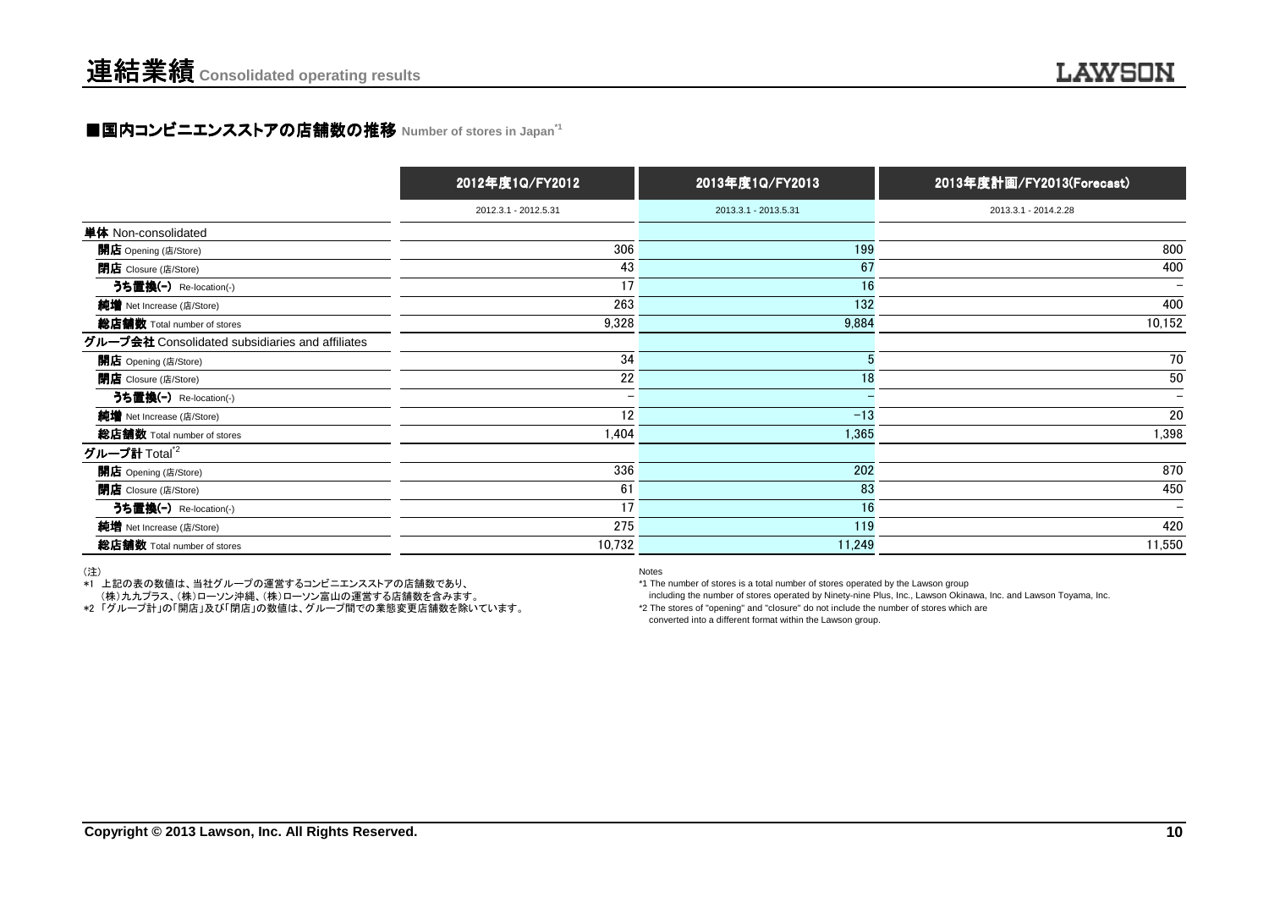# ■国内コンビニエンスストアの店舗数の推移 Number of stores in Japan<sup>\*1</sup>

|                                                 | 2012年度1Q/FY2012          | 2013年度1Q/FY2013      | 2013年度計画/FY2013(Forecast) |
|-------------------------------------------------|--------------------------|----------------------|---------------------------|
|                                                 | 2012.3.1 - 2012.5.31     | 2013.3.1 - 2013.5.31 | 2013.3.1 - 2014.2.28      |
| 単体 Non-consolidated                             |                          |                      |                           |
| 開店 Opening (店/Store)                            | 306                      | 199                  | 800                       |
| <b>閉店</b> Closure (店/Store)                     | 43                       | 67                   | 400                       |
| うち置換(-) Re-location(-)                          | 17                       | 16                   |                           |
| 純増 Net Increase (店/Store)                       | 263                      | 132                  | 400                       |
| 総店舗数 Total number of stores                     | 9,328                    | 9,884                | 10,152                    |
| グループ会社 Consolidated subsidiaries and affiliates |                          |                      |                           |
| 開店 Opening (店/Store)                            | 34                       | h                    | 70                        |
| <b>閉店</b> Closure (店/Store)                     | 22                       | 18                   | 50                        |
| うち置換(-) Re-location(-)                          | $\overline{\phantom{m}}$ |                      |                           |
| 純増 Net Increase (店/Store)                       | 12                       | $-13$                | 20                        |
| 総店舗数 Total number of stores                     | 1,404                    | 1,365                | 1,398                     |
| グループ計 Total $^{\star 2}$                        |                          |                      |                           |
| 開店 Opening (店/Store)                            | 336                      | 202                  | 870                       |
| <b>閉店</b> Closure (店/Store)                     | 61                       | 83                   | 450                       |
| うち置換(-) Re-location(-)                          | 17                       | 16                   |                           |
| 純増 Net Increase (店/Store)                       | 275                      | 119                  | 420                       |
| 総店舗数 Total number of stores                     | 10,732                   | 11,249               | 11,550                    |

(注)

\*1 上記の表の数値は、当社グループの運営するコンビニエンスストアの店舗数であり、

(株)九九プラス、(株)ローソン沖縄、(株)ローソン富山の運営する店舗数を含みます。

\*2 「グループ計」の「開店」及び「閉店」の数値は、グループ間での業態変更店舗数を除いています。

Notes

\*1 The number of stores is a total number of stores operated by the Lawson group

including the number of stores operated by Ninety-nine Plus, Inc., Lawson Okinawa, Inc. and Lawson Toyama, Inc.

\*2 The stores of "opening" and "closure" do not include the number of stores which are

converted into a different format within the Lawson group.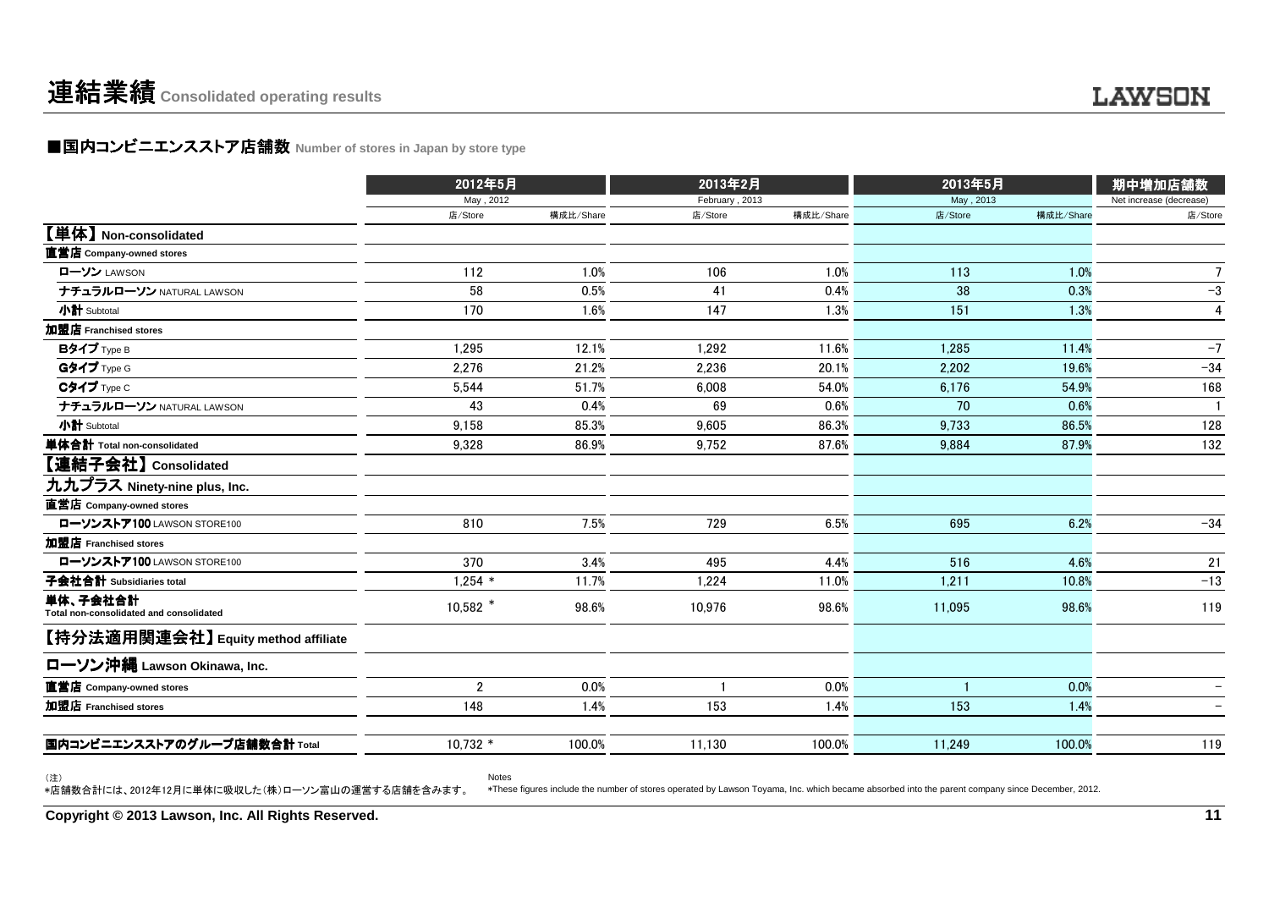## ■国内コンビニエンスストア店舗数 Number of stores in Japan by store type

|                                                     | 2012年5月        |           | 2013年2月        |           | 2013年5月   | 期中増加店舗数   |                         |
|-----------------------------------------------------|----------------|-----------|----------------|-----------|-----------|-----------|-------------------------|
|                                                     | May, 2012      |           | February, 2013 |           | May, 2013 |           | Net increase (decrease) |
|                                                     | 店/Store        | 構成比/Share | 店/Store        | 構成比/Share | 店/Store   | 構成比/Share | 店/Store                 |
| 【単体】 Non-consolidated                               |                |           |                |           |           |           |                         |
| 直営店 Company-owned stores                            |                |           |                |           |           |           |                         |
| ローソン LAWSON                                         | 112            | 1.0%      | 106            | 1.0%      | 113       | 1.0%      | $\overline{7}$          |
| ナチュラルローソン NATURAL LAWSON                            | 58             | 0.5%      | 41             | 0.4%      | 38        | 0.3%      | $-3$                    |
| 小計 Subtotal                                         | 170            | 1.6%      | 147            | 1.3%      | 151       | 1.3%      | 4                       |
| 加盟店 Franchised stores                               |                |           |                |           |           |           |                         |
| Bタイプ Type B                                         | 1,295          | 12.1%     | 1,292          | 11.6%     | 1.285     | 11.4%     | $-7$                    |
| Gタイプ Type G                                         | 2,276          | 21.2%     | 2,236          | 20.1%     | 2,202     | 19.6%     | $-34$                   |
| Cタイプ Type C                                         | 5,544          | 51.7%     | 6,008          | 54.0%     | 6,176     | 54.9%     | 168                     |
| ナチュラルローソン NATURAL LAWSON                            | 43             | 0.4%      | 69             | 0.6%      | 70        | 0.6%      | $\mathbf{1}$            |
| 小計 Subtotal                                         | 9,158          | 85.3%     | 9,605          | 86.3%     | 9,733     | 86.5%     | 128                     |
| 単体合計 Total non-consolidated                         | 9,328          | 86.9%     | 9,752          | 87.6%     | 9,884     | 87.9%     | 132                     |
| 【連結子会社】 Consolidated                                |                |           |                |           |           |           |                         |
| 九九プラス Ninety-nine plus, Inc.                        |                |           |                |           |           |           |                         |
| 直営店 Company-owned stores                            |                |           |                |           |           |           |                         |
| ローソンストア100 LAWSON STORE100                          | 810            | 7.5%      | 729            | 6.5%      | 695       | 6.2%      | $-34$                   |
| 加盟店 Franchised stores                               |                |           |                |           |           |           |                         |
| ローソンストア100 LAWSON STORE100                          | 370            | 3.4%      | 495            | 4.4%      | 516       | 4.6%      | 21                      |
| 子会社合計 Subsidiaries total                            | $1,254$ *      | 11.7%     | 1,224          | 11.0%     | 1,211     | 10.8%     | $-13$                   |
| 単体、子会社合計<br>Total non-consolidated and consolidated | $10,582$ *     | 98.6%     | 10,976         | 98.6%     | 11,095    | 98.6%     | 119                     |
| 【持分法適用関連会社】 Equity method affiliate                 |                |           |                |           |           |           |                         |
| ローソン沖縄 Lawson Okinawa, Inc.                         |                |           |                |           |           |           |                         |
| 直営店 Company-owned stores                            | $\overline{2}$ | 0.0%      |                | 0.0%      |           | 0.0%      |                         |
| 加盟店 Franchised stores                               | 148            | 1.4%      | 153            | 1.4%      | 153       | 1.4%      |                         |
| 国内コンビニエンスストアのグループ店舗数合計 Total                        | $10.732*$      | 100.0%    | 11.130         | 100.0%    | 11.249    | 100.0%    | 119                     |
|                                                     |                |           |                |           |           |           |                         |

(注)

\*店舗数合計には、2012年12月に単体に吸収した(株)ローソン富山の運営する店舗を含みます。

Notes

\*These figures include the number of stores operated by Lawson Toyama, Inc. which became absorbed into the parent company since December, 2012.

**Copyright © 2013 Lawson, Inc. All Rights Reserved.**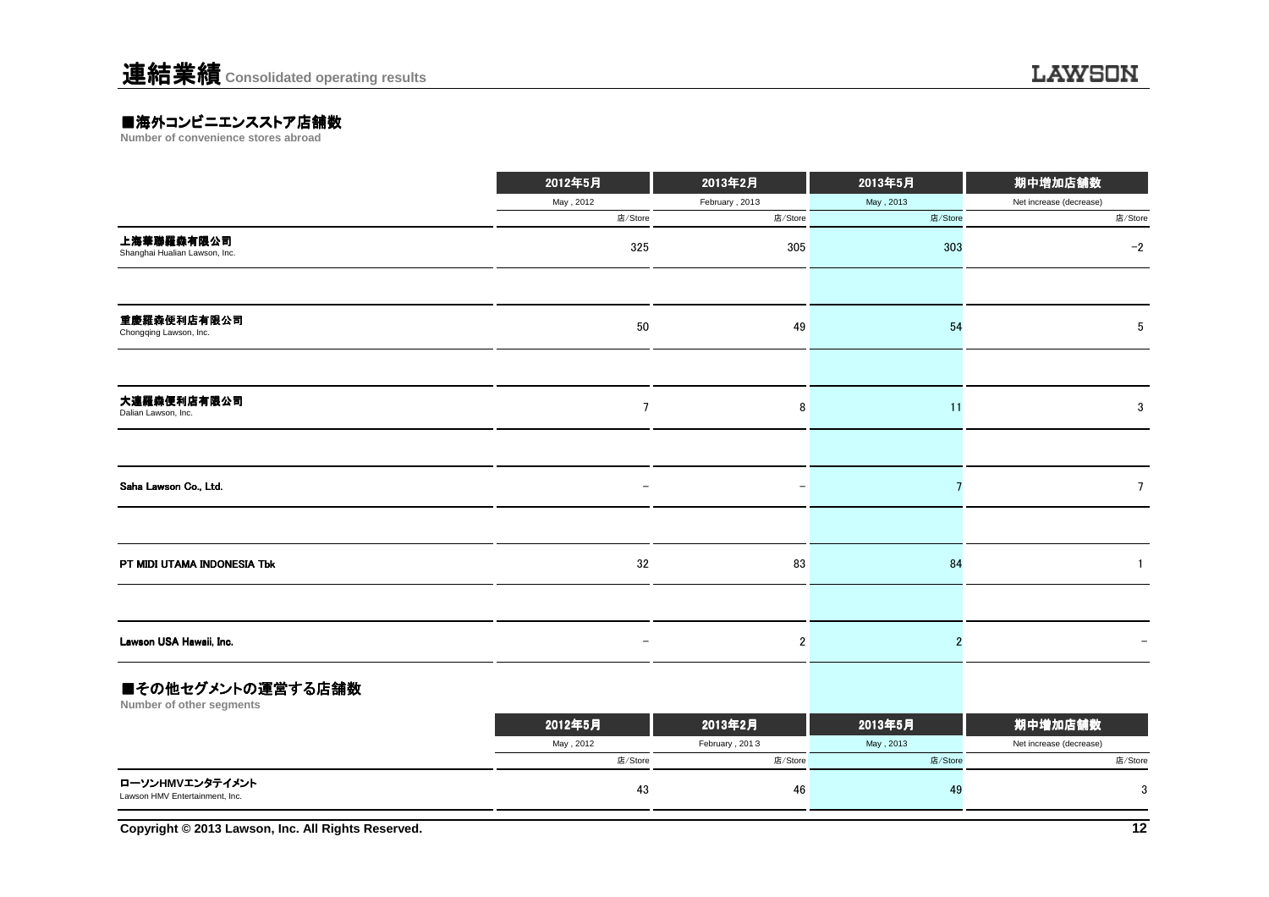### ■海外コンビニエンスストア店舗数<br>Number of convenience stores abroad

**Number of convenience stores abroad**

|                                             | 2012年5月        | 2013年2月        | 2013年5月   | 期中増加店舗数                 |
|---------------------------------------------|----------------|----------------|-----------|-------------------------|
|                                             | May, 2012      | February, 2013 | May, 2013 | Net increase (decrease) |
|                                             | 店/Store        | 店/Store        | 店/Store   | 店/Store                 |
| 上海華聯羅森有限公司<br>Shanghai Hualian Lawson, Inc. | 325            | 305            | 303       | $-2$                    |
|                                             |                |                |           |                         |
| 重慶羅森便利店有限公司<br>Chongqing Lawson, Inc.       | 50             | 49             | 54        | 5                       |
|                                             |                |                |           |                         |
| 大連羅森便利店有限公司<br>Dalian Lawson, Inc.          | $\overline{7}$ | 8              | 11        | 3                       |
|                                             |                |                |           |                         |
| Saha Lawson Co., Ltd.                       |                |                |           | 7                       |
|                                             |                |                |           |                         |
| PT MIDI UTAMA INDONESIA Tbk                 | 32             | 83             | 84        |                         |
|                                             |                |                |           |                         |
| Lawson USA Hawaii, Inc.                     |                | $\overline{2}$ | 2         |                         |
|                                             |                |                |           |                         |

#### ■その他セグメントの運営する店舗数

**Number of other segments**

|                                                   | 2012年5月   | 2013年2月        | 2013年5月   | 期中増加店舗数                 |
|---------------------------------------------------|-----------|----------------|-----------|-------------------------|
|                                                   | May, 2012 | February, 2013 | May, 2013 | Net increase (decrease) |
|                                                   | 店/Store   | 店/Store        | 店/Store   | 店/Store                 |
| ローソンHMVエンタテイメント<br>Lawson HMV Entertainment, Inc. | 43        | 46             | 49        | ર<br>O.                 |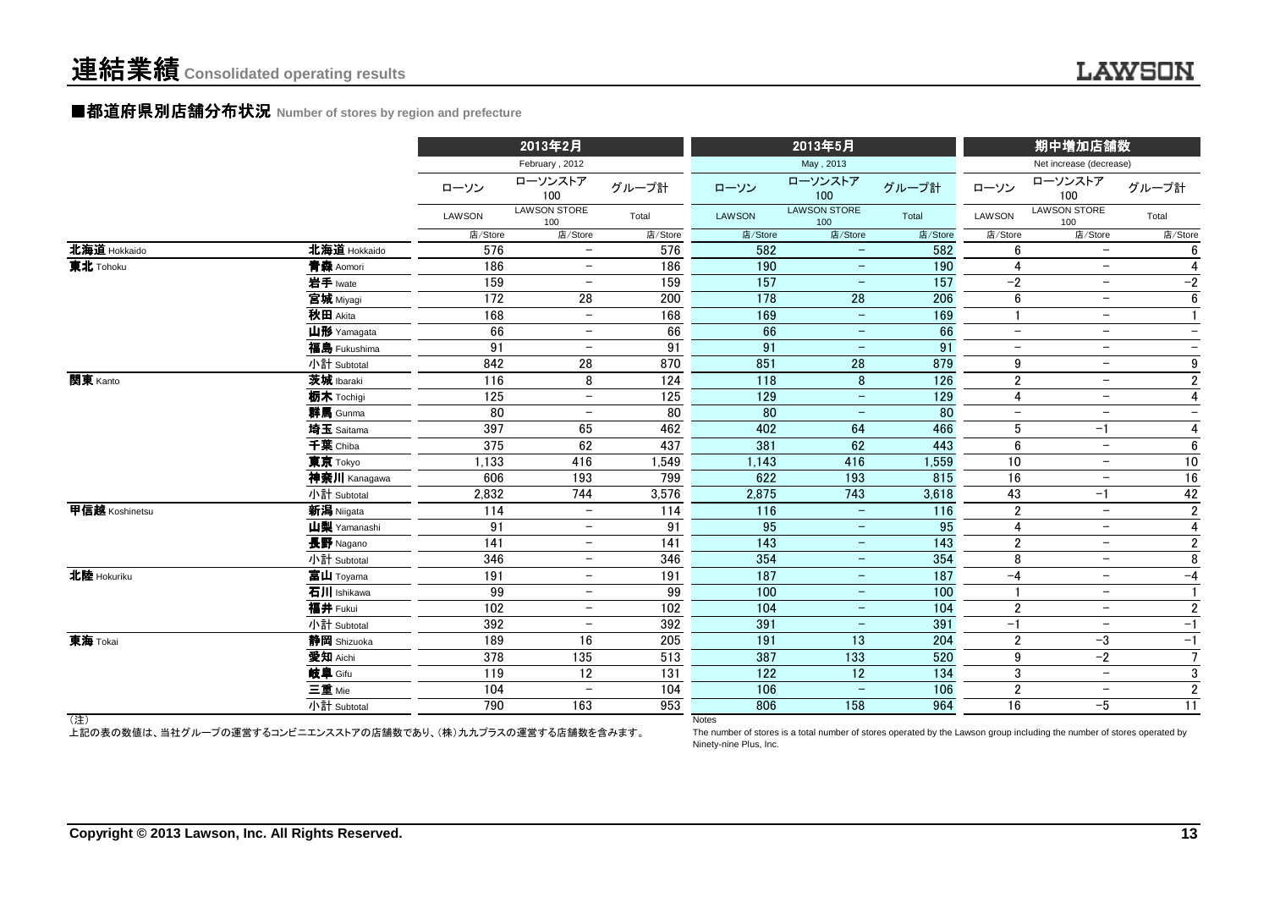### ■都道府県別店舗分布状況 Number of stores by region and prefecture

|                |                                                              |         | 2013年2月                    |                  |                  | 2013年5月                                                                                                                  |         |                          | 期中増加店舗数                    |                          |
|----------------|--------------------------------------------------------------|---------|----------------------------|------------------|------------------|--------------------------------------------------------------------------------------------------------------------------|---------|--------------------------|----------------------------|--------------------------|
|                |                                                              |         | February, 2012             |                  |                  | May, 2013                                                                                                                |         |                          | Net increase (decrease)    |                          |
|                |                                                              | ローソン    | ローソンストア<br>100             | グループ計            | ローソン             | ローソンストア<br>100                                                                                                           | グループ計   | ローソン                     | ローソンストア<br>100             | グループ計                    |
|                |                                                              | LAWSON  | <b>LAWSON STORE</b><br>100 | Total            | <b>LAWSON</b>    | <b>LAWSON STORE</b><br>100                                                                                               | Total   | LAWSON                   | <b>LAWSON STORE</b><br>100 | Total                    |
|                |                                                              | 店/Store | 店/Store                    | 店/Store          | 店/Store          | 店/Store                                                                                                                  | 店/Store | 店/Store                  | 店/Store                    | 店/Store                  |
| 北海道 Hokkaido   | 北海道 Hokkaido                                                 | 576     | $-$                        | 576              | 582              | $\qquad \qquad -$                                                                                                        | 582     | 6                        | $\overline{\phantom{0}}$   | 6                        |
| 東北 Tohoku      | 青森 Aomori                                                    | 186     | $\qquad \qquad -$          | 186              | 190              | $\qquad \qquad -$                                                                                                        | 190     | $\overline{4}$           | $-$                        | $\overline{4}$           |
|                | 岩手 Iwate                                                     | 159     | $\qquad \qquad -$          | 159              | 157              | $\qquad \qquad -$                                                                                                        | 157     | $-2$                     | $-$                        | $-2$                     |
|                | 宮城 Miyagi                                                    | 172     | 28                         | 200              | 178              | $\overline{28}$                                                                                                          | 206     | 6                        | $\overline{\phantom{0}}$   | 6                        |
|                | 秋田 Akita                                                     | 168     | $\overline{\phantom{0}}$   | 168              | 169              | $\overline{\phantom{m}}$                                                                                                 | 169     |                          | $\overline{\phantom{m}}$   | $\mathbf{1}$             |
|                | 山形 Yamagata                                                  | 66      | $\qquad \qquad -$          | 66               | 66               | $\overline{\phantom{m}}$                                                                                                 | 66      |                          | $-$                        | $\qquad \qquad -$        |
|                | 福島 Fukushima                                                 | 91      | $-$                        | 91               | 91               | $\overline{\phantom{m}}$                                                                                                 | 91      | $\overline{\phantom{0}}$ | $\overline{\phantom{0}}$   | $\overline{\phantom{m}}$ |
|                | 小計 Subtotal                                                  | 842     | 28                         | 870              | 851              | 28                                                                                                                       | 879     | 9                        | $\overline{\phantom{0}}$   | $\boldsymbol{9}$         |
| 関東 Kanto       | 茨城 Ibaraki                                                   | 116     | 8                          | 124              | 118              | 8                                                                                                                        | 126     | $\overline{2}$           | $\overline{\phantom{0}}$   | $\overline{2}$           |
|                | 栃木 Tochigi                                                   | 125     | $\overline{\phantom{a}}$   | 125              | 129              | $\equiv$                                                                                                                 | 129     | 4                        | $\overline{\phantom{m}}$   | $\overline{4}$           |
|                | 群馬 Gunma                                                     | 80      | $\qquad \qquad -$          | $\overline{80}$  | 80               | $\overline{\phantom{m}}$                                                                                                 | 80      | $\overline{\phantom{0}}$ | $\overline{\phantom{0}}$   | $\qquad \qquad -$        |
|                | 埼玉 Saitama                                                   | 397     | 65                         | 462              | 402              | 64                                                                                                                       | 466     | 5                        | $-1$                       | $\overline{4}$           |
|                | 千葉 Chiba                                                     | 375     | 62                         | 437              | 381              | 62                                                                                                                       | 443     | 6                        | $\overline{\phantom{m}}$   | $\boldsymbol{6}$         |
|                | 東京 Tokyo                                                     | 1,133   | 416                        | 1,549            | 1,143            | 416                                                                                                                      | 1,559   | 10                       | $-$                        | $10\,$                   |
|                | 神奈川 Kanagawa                                                 | 606     | 193                        | 799              | 622              | 193                                                                                                                      | 815     | 16                       | $\overline{\phantom{m}}$   | 16                       |
|                | 小計 Subtotal                                                  | 2,832   | 744                        | 3,576            | 2,875            | 743                                                                                                                      | 3,618   | 43                       | $-1$                       | 42                       |
| 甲信越 Koshinetsu | 新潟 Niigata                                                   | 114     | $\overline{\phantom{0}}$   | 114              | 116              | $\overline{\phantom{m}}$                                                                                                 | 116     | $\overline{2}$           | $\overline{\phantom{a}}$   | $\overline{2}$           |
|                | 山梨 Yamanashi                                                 | 91      | $\qquad \qquad -$          | 91               | 95               | $\qquad \qquad -$                                                                                                        | 95      | 4                        | $\overline{\phantom{m}}$   | $\overline{\mathbf{4}}$  |
|                | 長野 Nagano                                                    | 141     | $\qquad \qquad -$          | $\overline{141}$ | $\overline{143}$ | $\qquad \qquad -$                                                                                                        | 143     | $\boldsymbol{2}$         | $\qquad \qquad -$          | $\overline{2}$           |
|                | 小計 Subtotal                                                  | 346     | $\qquad \qquad -$          | 346              | 354              | $\qquad \qquad -$                                                                                                        | 354     | 8                        | $\overline{\phantom{m}}$   | 8                        |
| 北陸 Hokuriku    | 富山 Toyama                                                    | 191     | $\qquad \qquad -$          | 191              | 187              | $\qquad \qquad -$                                                                                                        | 187     | $-4$                     | $\overline{\phantom{m}}$   | $-4$                     |
|                | 石川 Ishikawa                                                  | 99      | $\qquad \qquad -$          | 99               | 100              |                                                                                                                          | 100     |                          | $\overline{\phantom{0}}$   | $\mathbf{1}$             |
|                | 福井 Fukui                                                     | 102     | $\qquad \qquad -$          | 102              | 104              | $\qquad \qquad -$                                                                                                        | 104     | $\overline{2}$           | $\overline{\phantom{m}}$   | $\overline{2}$           |
|                | 小計 Subtotal                                                  | 392     | $\overline{\phantom{0}}$   | 392              | 391              | $\qquad \qquad -$                                                                                                        | 391     | $-1$                     | $\qquad \qquad -$          | $-1$                     |
| 東海 Tokai       | 静岡 Shizuoka                                                  | 189     | 16                         | 205              | 191              | 13                                                                                                                       | 204     | $\boldsymbol{2}$         | $-3$                       | $-1$                     |
|                | 愛知 Aichi                                                     | 378     | 135                        | 513              | 387              | 133                                                                                                                      | 520     | 9                        | $-2$                       | $\overline{7}$           |
|                | 岐阜 Gifu                                                      | 119     | 12                         | $\overline{131}$ | 122              | 12                                                                                                                       | 134     | 3                        | $-$                        | $\overline{3}$           |
|                | 三重 Mie                                                       | 104     |                            | 104              | 106              |                                                                                                                          | 106     | $\boldsymbol{2}$         | $\overline{\phantom{0}}$   | $\overline{2}$           |
|                | 小計 Subtotal                                                  | 790     | 163                        | 953              | 806              | 158                                                                                                                      | 964     | 16                       | $-5$                       | 11                       |
| (注)            | 上記の表の数値は、当社グループの運営するコンビニエンスストアの店舗数であり、(株)九九プラスの運営する店舗数を含みます。 |         |                            |                  | <b>Notes</b>     | The number of stores is a total number of stores operated by the Lawson group including the number of stores operated by |         |                          |                            |                          |

 The number of stores is a total number of stores operated by the Lawson group including the number of stores operated byNinety-nine Plus, Inc.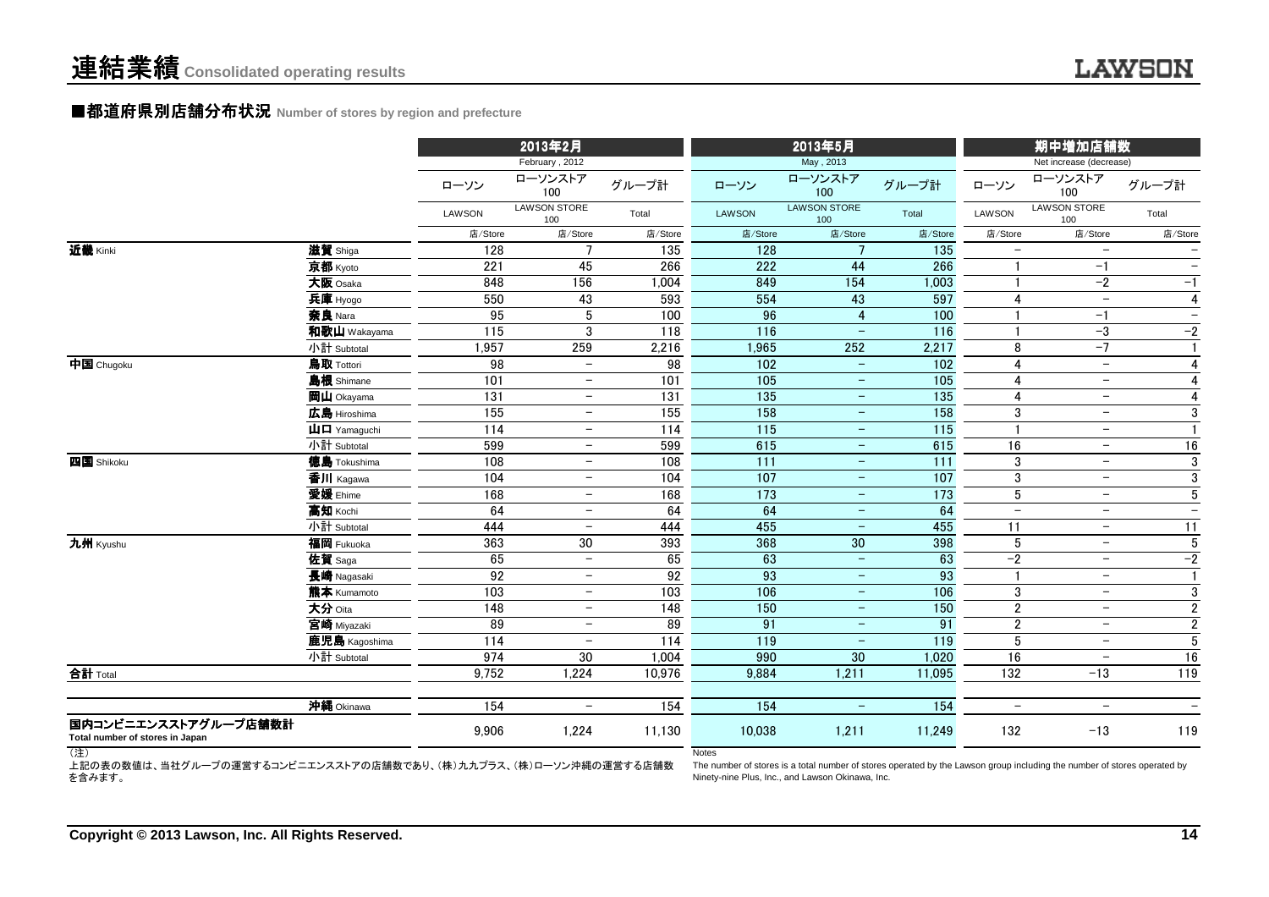#### ■都道府県別店舗分布状況 Number of stores by region and prefecture

|                                                         |                                                           |                   | 2013年2月                    |                  |                 | 2013年5月                    |                   | 期中増加店舗数          |                            |                          |
|---------------------------------------------------------|-----------------------------------------------------------|-------------------|----------------------------|------------------|-----------------|----------------------------|-------------------|------------------|----------------------------|--------------------------|
|                                                         |                                                           |                   | February, 2012             |                  |                 | May, 2013                  |                   |                  | Net increase (decrease)    |                          |
|                                                         |                                                           | ローソン              | ローソンストア<br>100             | グループ計            | ローソン            | ローソンストア<br>100             | グループ計             | ローソン             | ローソンストア<br>100             | グループ計                    |
|                                                         |                                                           | LAWSON            | <b>LAWSON STORE</b><br>100 | Total            | <b>LAWSON</b>   | <b>LAWSON STORE</b><br>100 | Total             | LAWSON           | <b>LAWSON STORE</b><br>100 | Total                    |
|                                                         |                                                           | 店/Store           | 店/Store                    | 店/Store          | 店/Store         | 店/Store                    | 店/Store           | 店/Store          | 店/Store                    | 店/Store                  |
| 近畿 Kinki                                                | 滋賀 Shiga                                                  | 128               | $\overline{7}$             | 135              | 128             | $\overline{7}$             | 135               |                  | $\overline{\phantom{m}}$   |                          |
|                                                         | 京都 Kyoto                                                  | 221               | 45                         | 266              | 222             | 44                         | 266               |                  | $-1$                       | $-$                      |
|                                                         | 大阪 Osaka                                                  | 848               | 156                        | 1,004            | 849             | $\frac{154}{ }$            | 1,003             |                  | $-2$                       | $-1$                     |
|                                                         | 兵庫 Hyogo                                                  | 550               | 43                         | 593              | 554             | 43                         | 597               | $\overline{4}$   | $\equiv$                   | $\overline{\mathbf{4}}$  |
|                                                         | 奈良 Nara                                                   | 95                | 5                          | 100              | 96              | $\overline{4}$             | 100               |                  | $-1$                       | $\overline{\phantom{m}}$ |
|                                                         | 和歌山 Wakayama                                              | $\frac{115}{115}$ | 3                          | $\overline{118}$ | 116             | $\equiv$                   | $\frac{116}{ }$   |                  | $-3$                       | $-2$                     |
|                                                         | 小計 Subtotal                                               | 1,957             | 259                        | 2,216            | 1,965           | 252                        | 2,217             | 8                | $-7$                       | $\mathbf{1}$             |
| 中国 Chugoku                                              | 鳥取 Tottori                                                | 98                | $\overline{\phantom{0}}$   | $\overline{98}$  | 102             | $\overline{\phantom{m}}$   | $\frac{102}{102}$ | $\overline{4}$   | $\overline{\phantom{m}}$   | 4                        |
|                                                         | 島根 Shimane                                                | 101               | $\overline{\phantom{0}}$   | 101              | 105             | $\overline{\phantom{0}}$   | 105               | $\overline{4}$   | $\overline{\phantom{m}}$   | 4                        |
|                                                         | 岡山 Okayama                                                | 131               | $-$                        | 131              | 135             | $-$                        | 135               | 4                | $\overline{\phantom{m}}$   | 4                        |
|                                                         | 広島 Hiroshima                                              | 155               | $\qquad \qquad -$          | 155              | 158             | $-$                        | 158               | 3                | $-$                        | 3                        |
|                                                         | $\mathbf{\mathsf{\mu}}$ $\mathbf{\mathsf{\Pi}}$ Yamaguchi | 114               | $\qquad \qquad -$          | 114              | 115             | $\qquad \qquad -$          | 115               | $\mathbf{1}$     | $\overline{\phantom{m}}$   | $\mathbf{1}$             |
|                                                         | 小計 Subtotal                                               | 599               | $\qquad \qquad -$          | 599              | 615             | $\qquad \qquad -$          | 615               | 16               | $\overline{\phantom{m}}$   | $16\,$                   |
| 四国 Shikoku                                              | 徳島 Tokushima                                              | 108               | $\qquad \qquad -$          | 108              | 111             | $-$                        | 111               | 3                | $\overline{\phantom{m}}$   | $\mathbf{3}$             |
|                                                         | 香川 Kagawa                                                 | 104               | $\overline{\phantom{0}}$   | 104              | 107             | $\overline{\phantom{m}}$   | 107               | $\sqrt{3}$       | $\overline{\phantom{m}}$   | $\overline{3}$           |
|                                                         | 愛媛 Ehime                                                  | 168               | $\overline{\phantom{0}}$   | 168              | 173             | $\overline{\phantom{m}}$   | $\overline{173}$  | $5\phantom{.0}$  | $\overline{\phantom{m}}$   | $\overline{5}$           |
|                                                         | 高知 Kochi                                                  | 64                | $\overline{\phantom{m}}$   | 64               | 64              | $\overline{\phantom{m}}$   | 64                |                  | $-$                        | $-$                      |
|                                                         | 小計 Subtotal                                               | 444               | $\overline{\phantom{0}}$   | 444              | 455             | $\overline{\phantom{m}}$   | 455               | 11               | $\overline{\phantom{a}}$   | 11                       |
| 九州 Kyushu                                               | 福岡 Fukuoka                                                | 363               | 30                         | 393              | 368             | 30                         | 398               | 5                | $\overline{\phantom{m}}$   | $5\phantom{.0}$          |
|                                                         | 佐賀 Saga                                                   | 65                | $\overline{\phantom{0}}$   | 65               | 63              | $\overline{\phantom{m}}$   | 63                | $-2$             | $-$                        | $-2$                     |
|                                                         | 長崎 Nagasaki                                               | 92                | $\qquad \qquad -$          | $\overline{92}$  | 93              | $\overline{\phantom{m}}$   | 93                |                  | $\overline{\phantom{m}}$   | $\mathbf{1}$             |
|                                                         | 熊本 Kumamoto                                               | $\frac{103}{ }$   | $\overline{\phantom{0}}$   | $\frac{103}{x}$  | 106             | $\overline{\phantom{m}}$   | 106               | 3                | $-$                        | $\overline{3}$           |
|                                                         | 大分 Oita                                                   | 148               | $\overline{\phantom{0}}$   | 148              | 150             | $\overline{\phantom{m}}$   | 150               | $\boldsymbol{2}$ | $-$                        | $\overline{2}$           |
|                                                         | 宮崎 Miyazaki                                               | 89                | $\overline{\phantom{m}}$   | 89               | 91              | $\overline{\phantom{0}}$   | 91                | $\boldsymbol{2}$ | $\overline{\phantom{m}}$   | $\overline{2}$           |
|                                                         | 鹿児島 Kagoshima                                             | 114               | $\overline{\phantom{0}}$   | 114              | 119             | $\overline{\phantom{0}}$   | 119               | $5\phantom{.0}$  | $\overline{\phantom{m}}$   | $\overline{5}$           |
|                                                         | 小計 Subtotal                                               | 974               | 30                         | 1,004            | 990             | 30                         | 1,020             | 16               | $\overline{\phantom{m}}$   | 16                       |
| 合計 Total                                                |                                                           | 9,752             | 1,224                      | 10,976           | 9,884           | 1,211                      | 11,095            | 132              | $-13$                      | 119                      |
|                                                         |                                                           |                   |                            |                  |                 |                            |                   |                  |                            |                          |
|                                                         | 沖縄 Okinawa                                                | 154               | $\overline{\phantom{0}}$   | 154              | $\frac{154}{ }$ |                            | 154               |                  | $-$                        |                          |
| 国内コンビニエンスストアグループ店舗数計<br>Total number of stores in Japan |                                                           | 9,906             | 1,224                      | 11,130           | 10,038          | 1,211                      | 11,249            | 132              | $-13$                      | 119                      |
| (注)                                                     |                                                           |                   |                            |                  | <b>Notes</b>    |                            |                   |                  |                            |                          |

(注) 上記の表の数値は、当社グループの運営するコンビニエンスストアの店舗数であり、(株)九九プラス、(株)ローソン沖縄の運営する店舗数 を含みます。

 The number of stores is a total number of stores operated by the Lawson group including the number of stores operated byNinety-nine Plus, Inc., and Lawson Okinawa, Inc.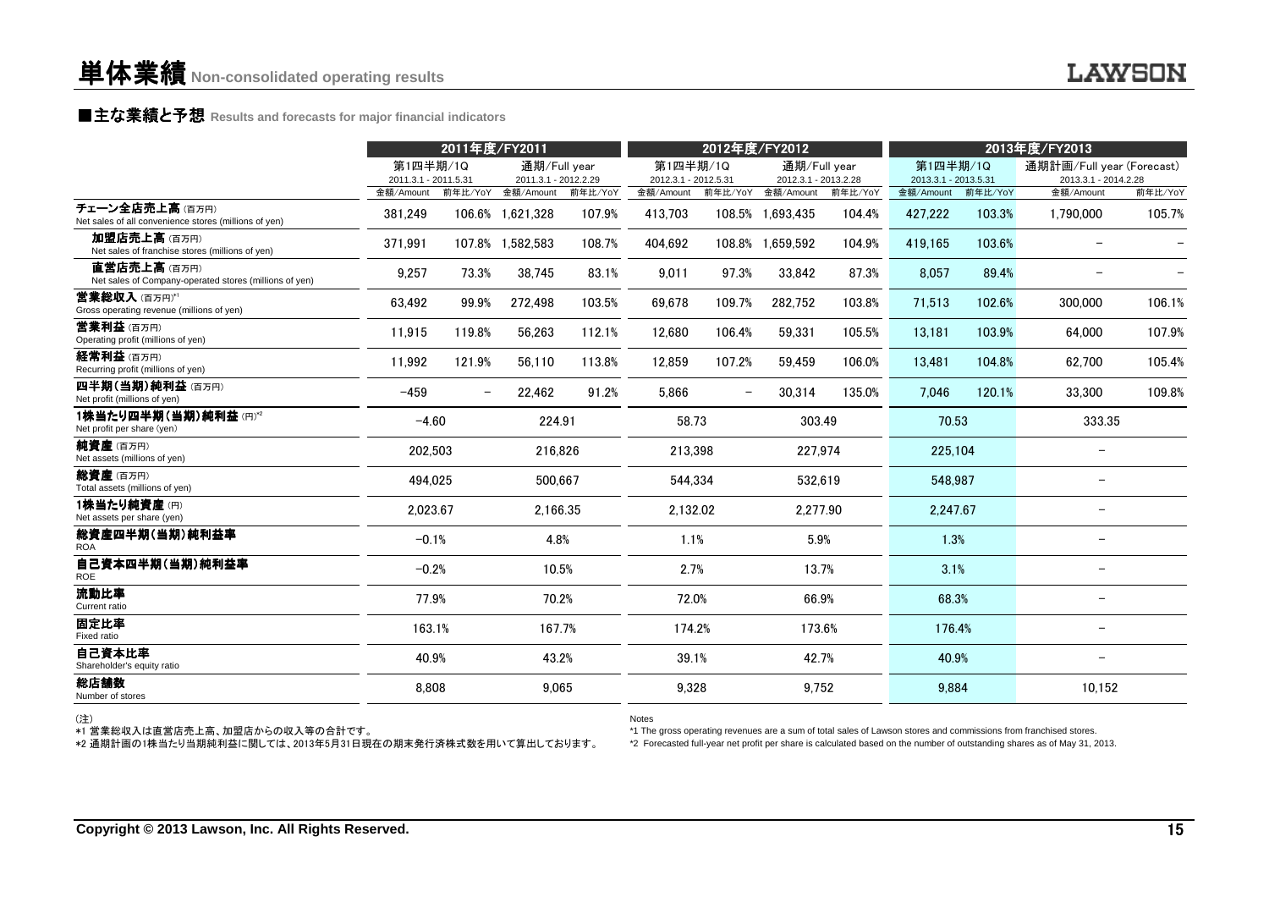### **■主な業績と予想** Results and forecasts for major financial indicators<br>
————————————————————

|                                                                         | 2011年度/FY2011                    |                          |                                      |         | 2012年度/FY2012                    |                          |                                      | 2013年度/FY2013 |                                  |         |                                                   |         |
|-------------------------------------------------------------------------|----------------------------------|--------------------------|--------------------------------------|---------|----------------------------------|--------------------------|--------------------------------------|---------------|----------------------------------|---------|---------------------------------------------------|---------|
|                                                                         | 第1四半期/1Q<br>2011.3.1 - 2011.5.31 |                          | 通期/Full year<br>2011.3.1 - 2012.2.29 |         | 第1四半期/1Q<br>2012.3.1 - 2012.5.31 |                          | 通期/Full year<br>2012.3.1 - 2013.2.28 |               | 第1四半期/1Q<br>2013.3.1 - 2013.5.31 |         | 通期計画/Full year (Forecast)<br>2013.3.1 - 2014.2.28 |         |
|                                                                         | 金額/Amount                        | 前年比/YoY                  | 金額/Amount                            | 前年比/YoY | 金額/Amount                        | 前年比/YoY                  | 金額/Amount                            | 前年比/YoY       | 金額/Amount                        | 前年比/YoY | 金額/Amount                                         | 前年比/YoY |
| チェーン全店売上高(百万円)<br>Net sales of all convenience stores (millions of yen) | 381,249                          |                          | 106.6% 1,621,328                     | 107.9%  | 413,703                          |                          | 108.5% 1,693,435                     | 104.4%        | 427,222                          | 103.3%  | 1,790,000                                         | 105.7%  |
| 加盟店売上高(百万円)<br>Net sales of franchise stores (millions of yen)          | 371,991                          |                          | 107.8% 1,582,583                     | 108.7%  | 404,692                          |                          | 108.8% 1,659,592                     | 104.9%        | 419,165                          | 103.6%  |                                                   |         |
| 直営店売上高(百万円)<br>Net sales of Company-operated stores (millions of yen)   | 9,257                            | 73.3%                    | 38,745                               | 83.1%   | 9,011                            | 97.3%                    | 33,842                               | 87.3%         | 8,057                            | 89.4%   |                                                   |         |
| 営業総収入(百万円)*1<br>Gross operating revenue (millions of yen)               | 63,492                           | 99.9%                    | 272,498                              | 103.5%  | 69,678                           | 109.7%                   | 282,752                              | 103.8%        | 71,513                           | 102.6%  | 300,000                                           | 106.1%  |
| 営業利益(百万円)<br>Operating profit (millions of yen)                         | 11,915                           | 119.8%                   | 56,263                               | 112.1%  | 12,680                           | 106.4%                   | 59,331                               | 105.5%        | 13,181                           | 103.9%  | 64,000                                            | 107.9%  |
| 経常利益 (百万円)<br>Recurring profit (millions of yen)                        | 11,992                           | 121.9%                   | 56.110                               | 113.8%  | 12,859                           | 107.2%                   | 59,459                               | 106.0%        | 13,481                           | 104.8%  | 62,700                                            | 105.4%  |
| 四半期(当期)純利益(百万円)<br>Net profit (millions of yen)                         | $-459$                           | $\overline{\phantom{m}}$ | 22,462                               | 91.2%   | 5.866                            | $\overline{\phantom{0}}$ | 30,314                               | 135.0%        | 7,046                            | 120.1%  | 33.300                                            | 109.8%  |
| 1株当たり四半期(当期)純利益(円)*2<br>Net profit per share (yen)                      | $-4.60$                          |                          | 224.91                               |         | 58.73                            |                          | 303.49                               |               | 70.53                            |         | 333.35                                            |         |
| 純資産(百万円)<br>Net assets (millions of yen)                                | 202.503                          |                          | 216.826                              |         | 213.398                          |                          | 227.974                              |               | 225.104                          |         |                                                   |         |
| 総資産(百万円)<br>Total assets (millions of yen)                              | 494,025                          |                          | 500,667                              |         | 544,334                          |                          | 532,619                              |               | 548,987                          |         |                                                   |         |
| 1株当たり純資産(円)<br>Net assets per share (yen)                               | 2.023.67                         |                          | 2.166.35                             |         | 2.132.02                         |                          | 2.277.90                             |               | 2.247.67                         |         | $\overline{\phantom{0}}$                          |         |
| 総資産四半期(当期)純利益率<br><b>ROA</b>                                            | $-0.1%$                          |                          | 4.8%                                 |         | 1.1%                             |                          | 5.9%                                 |               | 1.3%                             |         | $\overline{\phantom{0}}$                          |         |
| 自己資本四半期(当期)純利益率<br><b>ROE</b>                                           | $-0.2%$                          |                          | 10.5%                                |         | 2.7%                             |                          | 13.7%                                |               | 3.1%                             |         |                                                   |         |
| 流動比率<br>Current ratio                                                   | 77.9%                            |                          | 70.2%                                |         | 72.0%                            |                          | 66.9%                                |               | 68.3%                            |         |                                                   |         |
| 固定比率<br>Fixed ratio                                                     | 163.1%                           |                          | 167.7%                               |         | 174.2%                           |                          | 173.6%                               |               | 176.4%                           |         | $\overline{\phantom{0}}$                          |         |
| 自己資本比率<br>Shareholder's equity ratio                                    | 40.9%                            |                          | 43.2%                                |         | 39.1%                            |                          | 42.7%                                |               | 40.9%                            |         | $\overline{\phantom{m}}$                          |         |
| 総店舗数<br>Number of stores                                                | 8.808                            |                          | 9.065                                |         | 9,328                            |                          | 9,752                                |               | 9,884                            |         | 10.152                                            |         |

(注)

\*1 営業総収入は直営店売上高、加盟店からの収入等の合計です。

Notes

\*1 The gross operating revenues are a sum of total sales of Lawson stores and commissions from franchised stores.

\*2 通期計画の1株当たり当期純利益に関しては、2013年5月31日現在の期末発行済株式数を用いて算出しております。

\*2 Forecasted full-year net profit per share is calculated based on the number of outstanding shares as of May 31, 2013.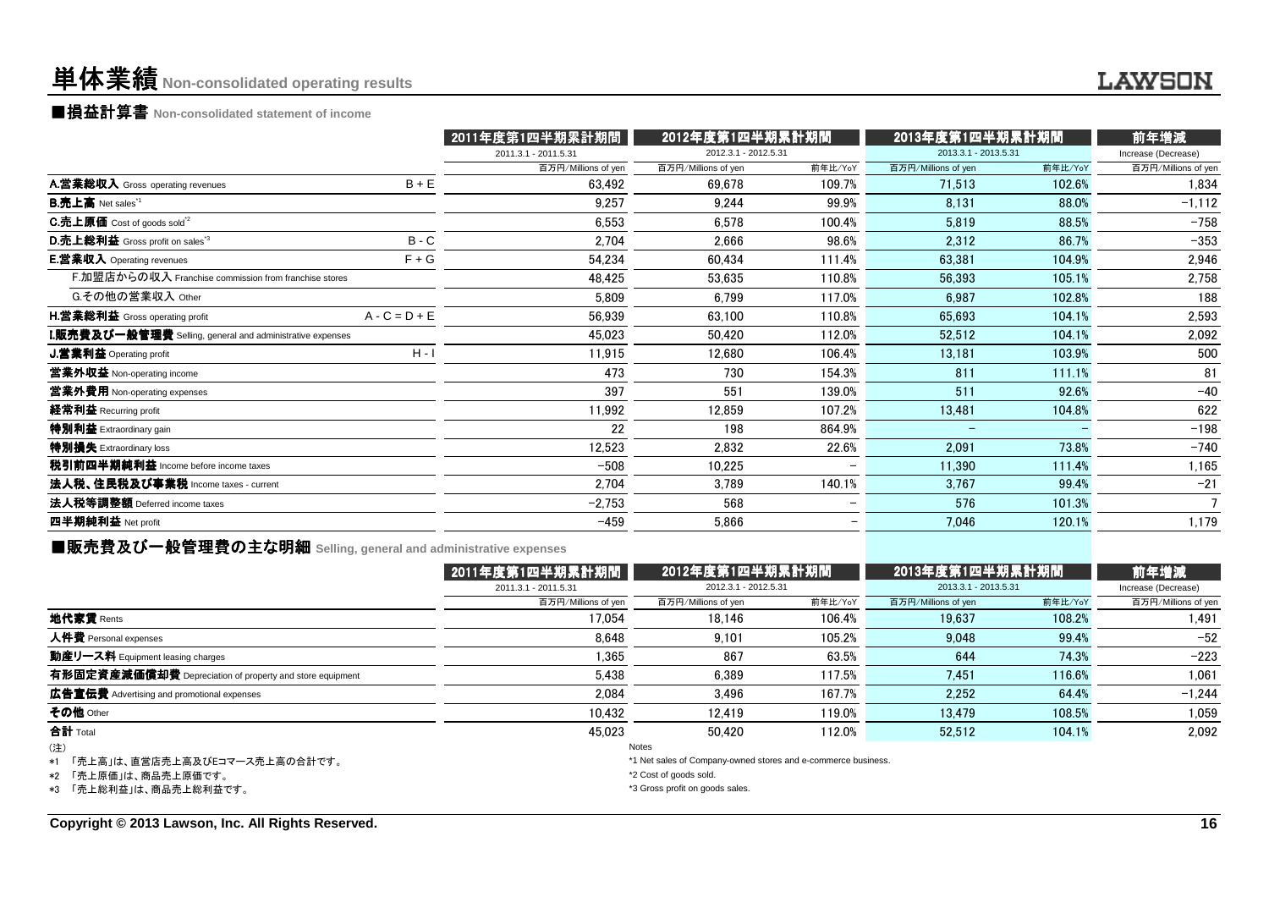### 単体業績**Non-consolidated operating results**

■損益計算書 **Non-consolidated statement of income**

|                                                                    |                 | 2011年度第1四半期累計期間      | 2012年度第1四半期累計期間      |                   | 2013年度第1四半期累計期間      | 前年増減    |                     |
|--------------------------------------------------------------------|-----------------|----------------------|----------------------|-------------------|----------------------|---------|---------------------|
|                                                                    |                 | 2011.3.1 - 2011.5.31 | 2012.3.1 - 2012.5.31 |                   | 2013.3.1 - 2013.5.31 |         | Increase (Decrease) |
|                                                                    |                 | 百万円/Millions of yen  | 百万円/Millions of yen  | 前年比/YoY           | 百万円/Millions of yen  | 前年比/YoY | 百万円/Millions of yen |
| A.営業総収入 Gross operating revenues                                   | $B + E$         | 63.492               | 69,678               | 109.7%            | 71.513               | 102.6%  | 1,834               |
| <b>B.売上高</b> Net sales <sup>"1</sup>                               |                 | 9,257                | 9,244                | 99.9%             | 8,131                | 88.0%   | $-1,112$            |
| $C.E.L原価 Cost of goods sold*2$                                     |                 | 6,553                | 6,578                | 100.4%            | 5.819                | 88.5%   | $-758$              |
| D.売上総利益 Gross profit on sales <sup>3</sup>                         | $B - C$         | 2,704                | 2,666                | 98.6%             | 2,312                | 86.7%   | $-353$              |
| <b>E.営業収入</b> Operating revenues                                   | $F + G$         | 54,234               | 60,434               | 111.4%            | 63,381               | 104.9%  | 2,946               |
| F.加盟店からの収入 Franchise commission from franchise stores              |                 | 48,425               | 53,635               | 110.8%            | 56,393               | 105.1%  | 2,758               |
| G.その他の営業収入 Other                                                   |                 | 5,809                | 6,799                | 117.0%            | 6.987                | 102.8%  | 188                 |
| H.営業総利益 Gross operating profit                                     | $A - C = D + E$ | 56.939               | 63.100               | 110.8%            | 65.693               | 104.1%  | 2,593               |
| ${\bf I}.$ 販売費及び一般管理費 Selling, general and administrative expenses |                 | 45,023               | 50,420               | 112.0%            | 52,512               | 104.1%  | 2,092               |
| <b>J.営業利益</b> Operating profit                                     | $H - I$         | 11,915               | 12,680               | 106.4%            | 13,181               | 103.9%  | 500                 |
| 當業外収益 Non-operating income                                         |                 | 473                  | 730                  | 154.3%            | 811                  | 111.1%  | 81                  |
| <b>営業外費用</b> Non-operating expenses                                |                 | 397                  | 551                  | 139.0%            | 511                  | 92.6%   | $-40$               |
| 経常利益 Recurring profit                                              |                 | 11,992               | 12,859               | 107.2%            | 13,481               | 104.8%  | 622                 |
| 特別利益 Extraordinary gain                                            |                 | 22                   | 198                  | 864.9%            |                      |         | $-198$              |
| 特別損失 Extraordinary loss                                            |                 | 12,523               | 2,832                | 22.6%             | 2,091                | 73.8%   | $-740$              |
| 税引前四半期純利益 Income before income taxes                               |                 | $-508$               | 10,225               |                   | 11,390               | 111.4%  | 1,165               |
| 法人税、住民税及び事業税 Income taxes - current                                |                 | 2,704                | 3,789                | 140.1%            | 3,767                | 99.4%   | $-21$               |
| 法人税等調整額 Deferred income taxes                                      |                 | $-2,753$             | 568                  |                   | 576                  | 101.3%  |                     |
| 四半期純利益 Net profit                                                  |                 | $-459$               | 5,866                | $\qquad \qquad -$ | 7,046                | 120.1%  | 1,179               |
|                                                                    |                 |                      |                      |                   |                      |         |                     |

■販売費及び一般管理費の主な明細 **Selling, general and administrative expenses**

|                                                                                           | 2011年度第1四半期累計期間                                                                                                                     | 2012年度第1四半期累計期間      |         | 2013年度第1四半期累計期間      |         | 前年増減                |  |
|-------------------------------------------------------------------------------------------|-------------------------------------------------------------------------------------------------------------------------------------|----------------------|---------|----------------------|---------|---------------------|--|
|                                                                                           | 2011.3.1 - 2011.5.31                                                                                                                | 2012.3.1 - 2012.5.31 |         | 2013.3.1 - 2013.5.31 |         | Increase (Decrease) |  |
|                                                                                           | 百万円/Millions of yen                                                                                                                 | 百万円/Millions of yen  | 前年比/YoY | 百万円/Millions of yen  | 前年比/YoY | 百万円/Millions of yen |  |
| 地代家賃 Rents                                                                                | 17.054                                                                                                                              | 18.146               | 106.4%  | 19.637               | 108.2%  | 1,491               |  |
| 人件費 Personal expenses                                                                     | 8.648                                                                                                                               | 9.101                | 105.2%  | 9.048                | 99.4%   | $-52$               |  |
| 動産リース料 Equipment leasing charges                                                          | 1.365                                                                                                                               | 867                  | 63.5%   | 644                  | 74.3%   | $-223$              |  |
| 有形固定資産減価償却費 Depreciation of property and store equipment                                  | 5.438                                                                                                                               | 6.389                | 117.5%  | 7.451                | 116.6%  | 1.061               |  |
| 広告宣伝費 Advertising and promotional expenses                                                | 2.084                                                                                                                               | 3.496                | 167.7%  | 2.252                | 64.4%   | $-1.244$            |  |
| その他 Other                                                                                 | 10.432                                                                                                                              | 12.419               | 119.0%  | 13.479               | 108.5%  | 1,059               |  |
| <b>合計</b> Total                                                                           | 45.023                                                                                                                              | 50.420               | 112.0%  | 52.512               | 104.1%  | 2.092               |  |
| (注)<br>*1 「売上高」は、直営店売上高及びEコマース売上高の合計です。<br>*2 「売上原価」は、商品売上原価です。<br>*3 「売上総利益」は、商品売上総利益です。 | Notes<br>*1 Net sales of Company-owned stores and e-commerce business.<br>*2 Cost of goods sold.<br>*3 Gross profit on goods sales. |                      |         |                      |         |                     |  |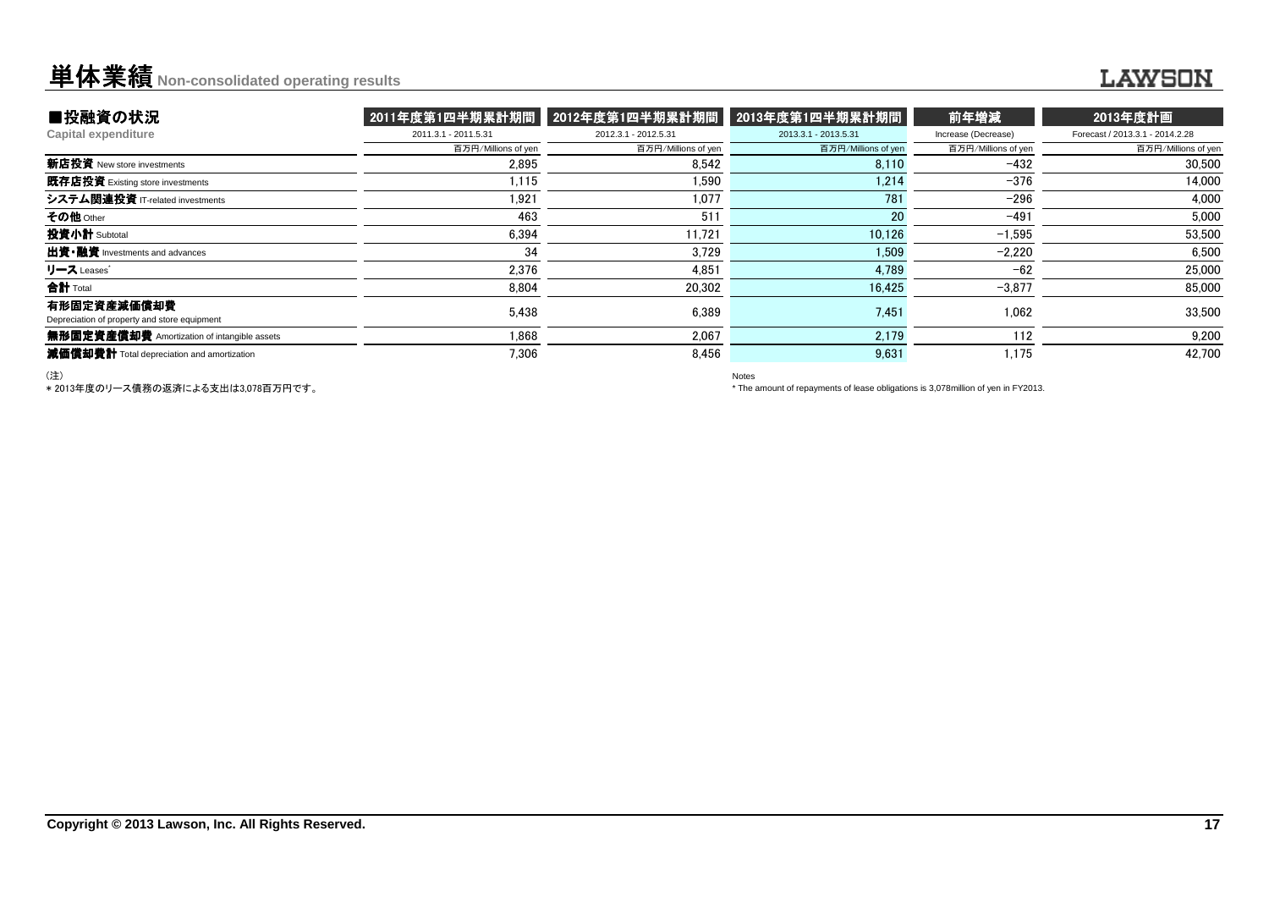# **单体業績** Non-consolidated operating results

### **LAWSON**

| ■投融資の状況                                                     | 2011年度第1四半期累計期間      | 2012年度第1四半期累計期間      | 2013年度第1四半期累計期間      | 前年増減                | 2013年度計画                        |
|-------------------------------------------------------------|----------------------|----------------------|----------------------|---------------------|---------------------------------|
| <b>Capital expenditure</b>                                  | 2011.3.1 - 2011.5.31 | 2012.3.1 - 2012.5.31 | 2013.3.1 - 2013.5.31 | Increase (Decrease) | Forecast / 2013.3.1 - 2014.2.28 |
|                                                             | 百万円/Millions of yen  | 百万円/Millions of yen  | 百万円/Millions of yen  | 百万円/Millions of yen | 百万円/Millions of yen             |
| 新店投資 New store investments                                  | 2,895                | 8.542                | 8,110                | $-432$              | 30,500                          |
| 既存店投資 Existing store investments                            | 1,115                | 1,590                | 1,214                | $-376$              | 14,000                          |
| システム関連投資 IT-related investments                             | 1.921                | 1.077                | 781                  | $-296$              | 4.000                           |
| その他 Other                                                   | 463                  | 511                  | 20                   | $-491$              | 5,000                           |
| 投資小計 Subtotal                                               | 6.394                | 11.721               | 10.126               | $-1.595$            | 53,500                          |
| 出資•融資 Investments and advances                              | 34                   | 3.729                | 1,509                | $-2,220$            | 6,500                           |
| リース Leases                                                  | 2.376                | 4.851                | 4,789                | $-62$               | 25,000                          |
| 合計 Total                                                    | 8.804                | 20.302               | 16,425               | $-3,877$            | 85,000                          |
| 有形固定資産減価償却費<br>Depreciation of property and store equipment | 5.438                | 6.389                | 7,451                | 1.062               | 33,500                          |
| 無形固定資産償却費 Amortization of intangible assets                 | 1.868                | 2.067                | 2,179                | 112                 | 9,200                           |
| 減価償却費計 Total depreciation and amortization                  | 7,306                | 8.456                | 9,631                | 1.175               | 42.700                          |

(注)

\* 2013年度のリース債務の返済による支出は3,078百万円です。

Notes

\* The amount of repayments of lease obligations is 3,078million of yen in FY2013.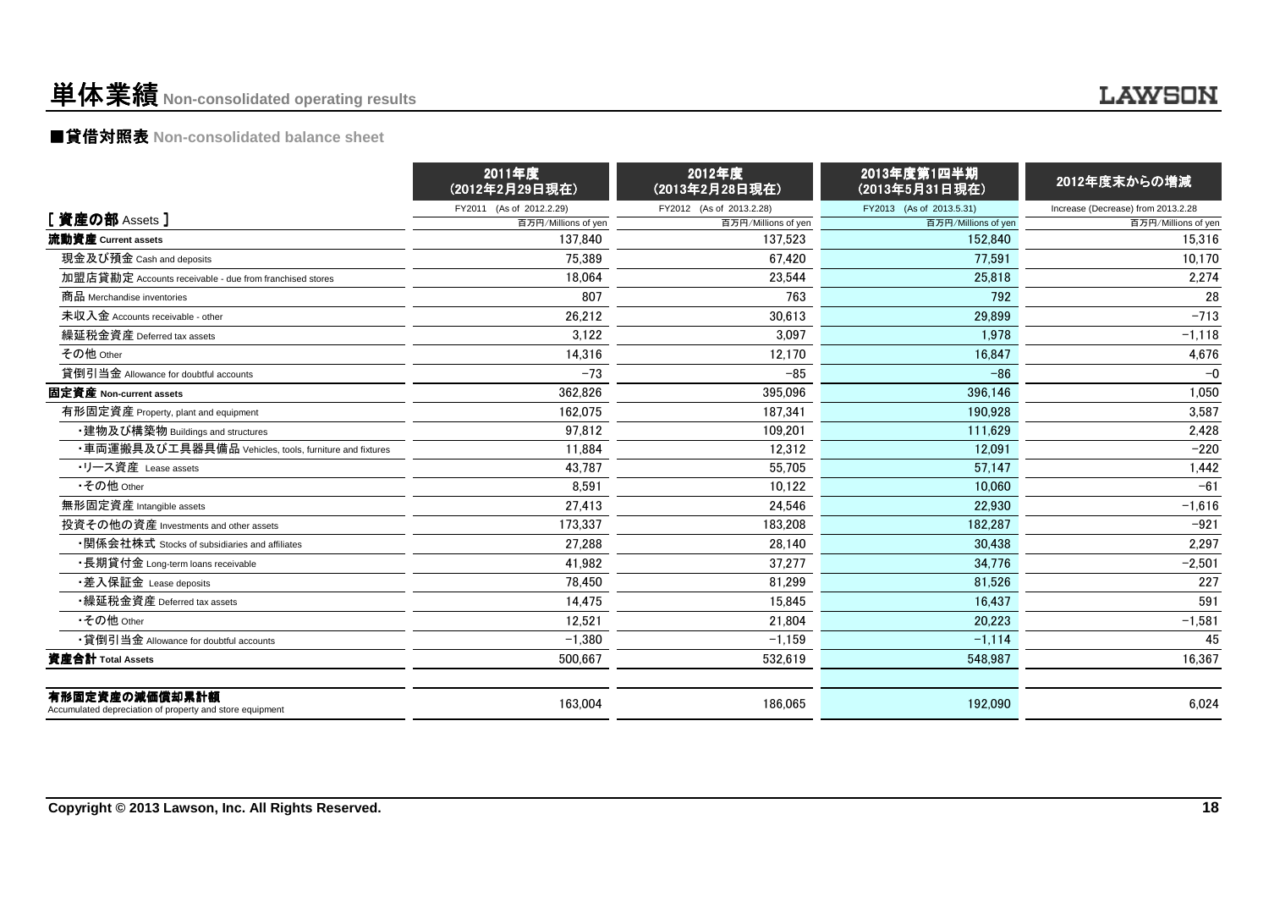# 単体業績**Non-consolidated operating results**

# ■貸借対照表 **Non-consolidated balance sheet**

|                                                                            | 2011年度<br>(2012年2月29日現在) | 2012年度<br>(2013年2月28日現在) | 2013年度第1四半期<br>(2013年5月31日現在) | 2012年度末からの増減                       |
|----------------------------------------------------------------------------|--------------------------|--------------------------|-------------------------------|------------------------------------|
|                                                                            | FY2011 (As of 2012.2.29) | FY2012 (As of 2013.2.28) | FY2013 (As of 2013.5.31)      | Increase (Decrease) from 2013.2.28 |
| [ 資産の部 Assets ]                                                            | 百万円/Millions of yen      | 百万円/Millions of yen      | 百万円/Millions of yen           | 百万円/Millions of yen                |
| 流動資産 Current assets                                                        | 137.840                  | 137.523                  | 152.840                       | 15.316                             |
| 現金及び預金 Cash and deposits                                                   | 75.389                   | 67.420                   | 77.591                        | 10.170                             |
| 加盟店貸勘定 Accounts receivable - due from franchised stores                    | 18.064                   | 23,544                   | 25,818                        | 2,274                              |
| 商品 Merchandise inventories                                                 | 807                      | 763                      | 792                           | 28                                 |
| 未収入金 Accounts receivable - other                                           | 26,212                   | 30,613                   | 29,899                        | $-713$                             |
| 繰延税金資産 Deferred tax assets                                                 | 3,122                    | 3.097                    | 1.978                         | $-1,118$                           |
| その他 Other                                                                  | 14,316                   | 12.170                   | 16.847                        | 4,676                              |
| 貸倒引当金 Allowance for doubtful accounts                                      | $-73$                    | $-85$                    | $-86$                         | $-0$                               |
| 固定資産 Non-current assets                                                    | 362,826                  | 395.096                  | 396.146                       | 1,050                              |
| 有形固定資産 Property, plant and equipment                                       | 162.075                  | 187.341                  | 190.928                       | 3,587                              |
| ・建物及び構築物 Buildings and structures                                          | 97,812                   | 109.201                  | 111.629                       | 2,428                              |
| ・車両運搬具及び工具器具備品 Vehicles, tools, furniture and fixtures                     | 11.884                   | 12.312                   | 12.091                        | $-220$                             |
| ・リース資産 Lease assets                                                        | 43.787                   | 55.705                   | 57.147                        | 1,442                              |
| •その他 Other                                                                 | 8.591                    | 10.122                   | 10.060                        | $-61$                              |
| 無形固定資産 Intangible assets                                                   | 27.413                   | 24,546                   | 22.930                        | $-1,616$                           |
| 投資その他の資産 Investments and other assets                                      | 173,337                  | 183.208                  | 182.287                       | $-921$                             |
| •関係会社株式 Stocks of subsidiaries and affiliates                              | 27,288                   | 28,140                   | 30.438                        | 2,297                              |
| ・長期貸付金 Long-term loans receivable                                          | 41,982                   | 37.277                   | 34,776                        | $-2,501$                           |
| ・差入保証金 Lease deposits                                                      | 78,450                   | 81.299                   | 81,526                        | 227                                |
| ・繰延税金資産 Deferred tax assets                                                | 14.475                   | 15.845                   | 16.437                        | 591                                |
| •その他 Other                                                                 | 12.521                   | 21.804                   | 20.223                        | $-1,581$                           |
| •貸倒引当金 Allowance for doubtful accounts                                     | $-1,380$                 | $-1,159$                 | $-1,114$                      | 45                                 |
| 資産合計 Total Assets                                                          | 500,667                  | 532,619                  | 548,987                       | 16,367                             |
| 有形固定資産の減価償却累計額<br>Accumulated depreciation of property and store equipment | 163.004                  | 186.065                  | 192.090                       | 6.024                              |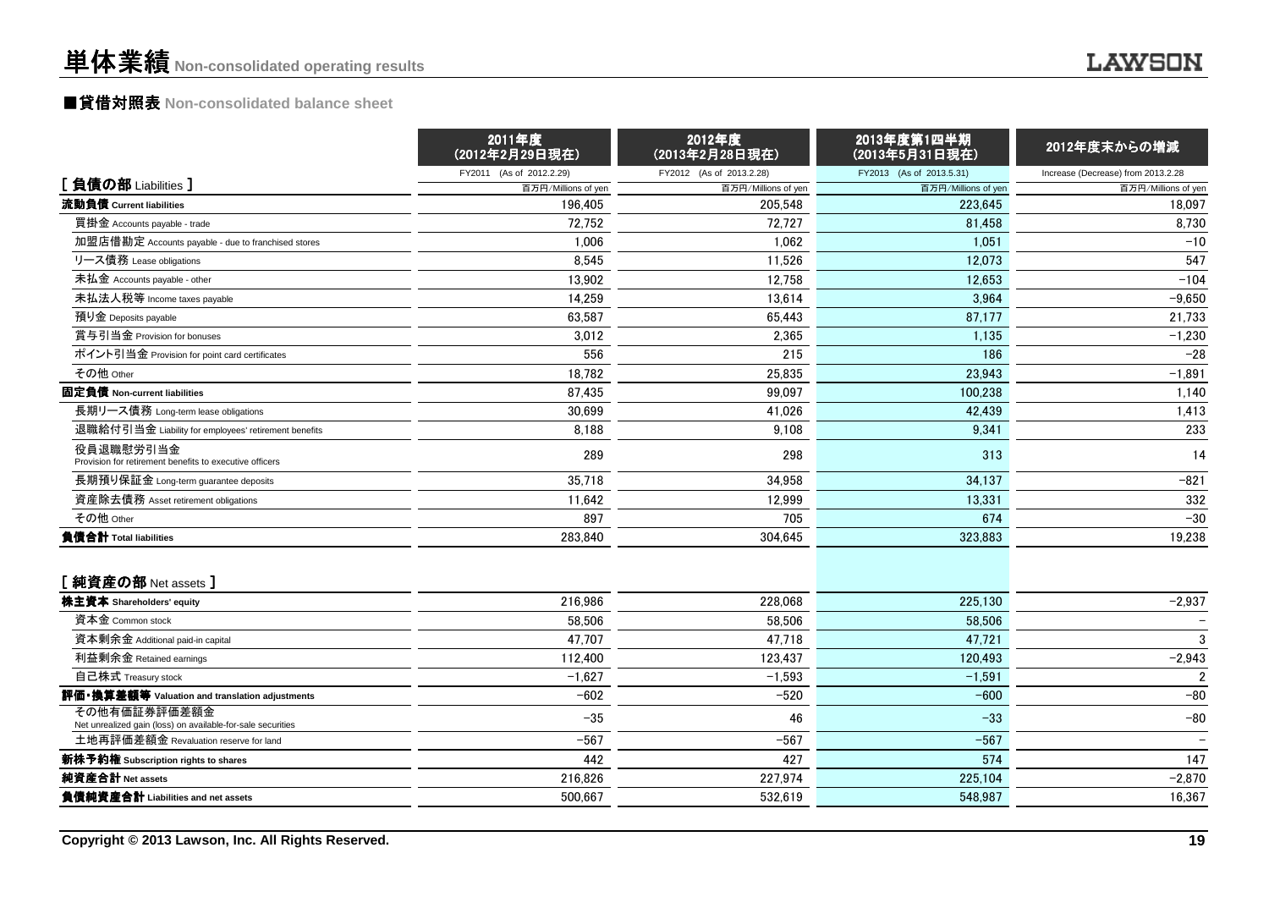# ■貸借対照表 **Non-consolidated balance sheet**

|                                                                             | 2011年度<br>(2012年2月29日現在) | 2012年度<br>(2013年2月28日現在) | 2013年度第1四半期<br>(2013年5月31日現在) | 2012年度末からの増減                       |
|-----------------------------------------------------------------------------|--------------------------|--------------------------|-------------------------------|------------------------------------|
|                                                                             | FY2011 (As of 2012.2.29) | FY2012 (As of 2013.2.28) | FY2013 (As of 2013.5.31)      | Increase (Decrease) from 2013.2.28 |
| [負債の部 Liabilities]                                                          | 百万円/Millions of yen      | 百万円/Millions of yen      | 百万円/Millions of yen           | 百万円/Millions of yen                |
| 流動負債 Current liabilities                                                    | 196,405                  | 205,548                  | 223,645                       | 18,097                             |
| 買掛金 Accounts payable - trade                                                | 72,752                   | 72,727                   | 81,458                        | 8,730                              |
| 加盟店借勘定 Accounts payable - due to franchised stores                          | 1,006                    | 1.062                    | 1.051                         | $-10$                              |
| リース債務 Lease obligations                                                     | 8,545                    | 11,526                   | 12,073                        | 547                                |
| 未払金 Accounts payable - other                                                | 13,902                   | 12,758                   | 12,653                        | $-104$                             |
| 未払法人税等 Income taxes payable                                                 | 14.259                   | 13.614                   | 3,964                         | $-9,650$                           |
| 預り金 Deposits payable                                                        | 63,587                   | 65,443                   | 87,177                        | 21,733                             |
| 賞与引当金 Provision for bonuses                                                 | 3.012                    | 2.365                    | 1.135                         | $-1,230$                           |
| ポイント引当金 Provision for point card certificates                               | 556                      | 215                      | 186                           | $-28$                              |
| その他 Other                                                                   | 18,782                   | 25,835                   | 23,943                        | $-1,891$                           |
| 固定負債 Non-current liabilities                                                | 87,435                   | 99,097                   | 100.238                       | 1,140                              |
| 長期リース債務 Long-term lease obligations                                         | 30,699                   | 41,026                   | 42,439                        | 1,413                              |
| 退職給付引当金 Liability for employees' retirement benefits                        | 8,188                    | 9.108                    | 9.341                         | 233                                |
| 役員退職慰労引当金<br>Provision for retirement benefits to executive officers        | 289                      | 298                      | 313                           | 14                                 |
| 長期預り保証金 Long-term guarantee deposits                                        | 35,718                   | 34.958                   | 34.137                        | $-821$                             |
| 資産除去債務 Asset retirement obligations                                         | 11,642                   | 12,999                   | 13,331                        | 332                                |
| その他 Other                                                                   | 897                      | 705                      | 674                           | $-30$                              |
| 負債合計 Total liabilities                                                      | 283,840                  | 304,645                  | 323,883                       | 19,238                             |
| [純資産の部 Net assets ]                                                         |                          |                          |                               |                                    |
| 株主資本 Shareholders' equity                                                   | 216,986                  | 228,068                  | 225,130                       | $-2,937$                           |
| 資本金 Common stock                                                            | 58,506                   | 58.506                   | 58,506                        |                                    |
| 資本剰余金 Additional paid-in capital                                            | 47,707                   | 47,718                   | 47,721                        | 3                                  |
| 利益剰余金 Retained earnings                                                     | 112,400                  | 123,437                  | 120.493                       | $-2,943$                           |
| 自己株式 Treasury stock                                                         | $-1,627$                 | $-1,593$                 | $-1,591$                      | $\overline{2}$                     |
| 評価・換算差額等 Valuation and translation adjustments                              | $-602$                   | $-520$                   | $-600$                        | $-80$                              |
| その他有価証券評価差額金<br>Net unrealized gain (loss) on available-for-sale securities | $-35$                    | 46                       | $-33$                         | $-80$                              |
| 土地再評価差額金 Revaluation reserve for land                                       | $-567$                   | $-567$                   | $-567$                        |                                    |
| 新株予約権 Subscription rights to shares                                         | 442                      | 427                      | 574                           | 147                                |
| 純資産合計 Net assets                                                            | 216,826                  | 227,974                  | 225,104                       | $-2,870$                           |
| 負債純資産合計 Liabilities and net assets                                          | 500,667                  | 532,619                  | 548,987                       | 16,367                             |